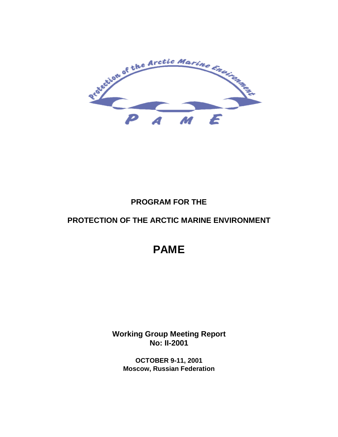

# **PROGRAM FOR THE**

# **PROTECTION OF THE ARCTIC MARINE ENVIRONMENT**

# **PAME**

**Working Group Meeting Report No: II-2001**

**OCTOBER 9-11, 2001 Moscow, Russian Federation**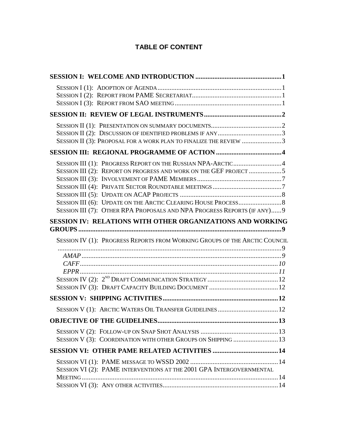# **TABLE OF CONTENT**

| SESSION II (3): PROPOSAL FOR A WORK PLAN TO FINALIZE THE REVIEW 3          |  |
|----------------------------------------------------------------------------|--|
|                                                                            |  |
| SESSION III (1): PROGRESS REPORT ON THE RUSSIAN NPA-ARCTIC4                |  |
| SESSION III (2): REPORT ON PROGRESS AND WORK ON THE GEF PROJECT 5          |  |
|                                                                            |  |
|                                                                            |  |
|                                                                            |  |
|                                                                            |  |
| SESSION III (7): OTHER RPA PROPOSALS AND NPA PROGRESS REPORTS (IF ANY) 9   |  |
| SESSION IV: RELATIONS WITH OTHER ORGANIZATIONS AND WORKING                 |  |
| SESSION IV (1): PROGRESS REPORTS FROM WORKING GROUPS OF THE ARCTIC COUNCIL |  |
|                                                                            |  |
|                                                                            |  |
|                                                                            |  |
|                                                                            |  |
|                                                                            |  |
|                                                                            |  |
|                                                                            |  |
|                                                                            |  |
| SESSION V (1): ARCTIC WATERS OIL TRANSFER GUIDELINES  12                   |  |
|                                                                            |  |
|                                                                            |  |
| SESSION V (3): COORDINATION WITH OTHER GROUPS ON SHIPPING  13              |  |
|                                                                            |  |
|                                                                            |  |
| SESSION VI (2): PAME INTERVENTIONS AT THE 2001 GPA INTERGOVERNMENTAL       |  |
|                                                                            |  |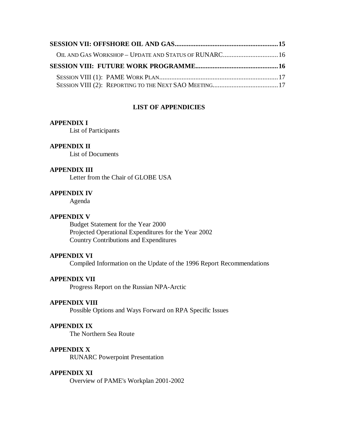| OIL AND GAS WORKSHOP - UPDATE AND STATUS OF RUNARC 16 |  |
|-------------------------------------------------------|--|
|                                                       |  |
|                                                       |  |

#### **LIST OF APPENDICIES**

#### **APPENDIX I**

List of Participants

#### **APPENDIX II**

List of Documents

#### **APPENDIX III**

Letter from the Chair of GLOBE USA

#### **APPENDIX IV**

Agenda

#### **APPENDIX V**

Budget Statement for the Year 2000 Projected Operational Expenditures for the Year 2002 Country Contributions and Expenditures

#### **APPENDIX VI**

Compiled Information on the Update of the 1996 Report Recommendations

#### **APPENDIX VII**

Progress Report on the Russian NPA-Arctic

#### **APPENDIX VIII**

Possible Options and Ways Forward on RPA Specific Issues

#### **APPENDIX IX**

The Northern Sea Route

#### **APPENDIX X**

RUNARC Powerpoint Presentation

#### **APPENDIX XI**

Overview of PAME's Workplan 2001-2002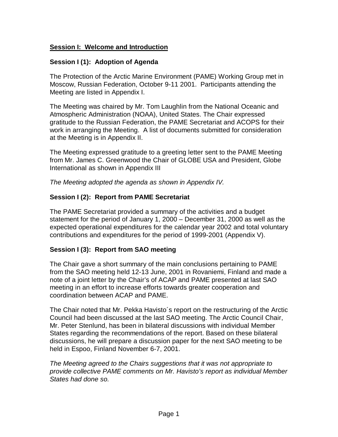# **Session I: Welcome and Introduction**

# **Session I (1): Adoption of Agenda**

The Protection of the Arctic Marine Environment (PAME) Working Group met in Moscow, Russian Federation, October 9-11 2001. Participants attending the Meeting are listed in Appendix I.

The Meeting was chaired by Mr. Tom Laughlin from the National Oceanic and Atmospheric Administration (NOAA), United States. The Chair expressed gratitude to the Russian Federation, the PAME Secretariat and ACOPS for their work in arranging the Meeting. A list of documents submitted for consideration at the Meeting is in Appendix II.

The Meeting expressed gratitude to a greeting letter sent to the PAME Meeting from Mr. James C. Greenwood the Chair of GLOBE USA and President, Globe International as shown in Appendix III

The Meeting adopted the agenda as shown in Appendix IV.

# **Session I (2): Report from PAME Secretariat**

The PAME Secretariat provided a summary of the activities and a budget statement for the period of January 1, 2000 – December 31, 2000 as well as the expected operational expenditures for the calendar year 2002 and total voluntary contributions and expenditures for the period of 1999-2001 (Appendix V).

# **Session I (3): Report from SAO meeting**

The Chair gave a short summary of the main conclusions pertaining to PAME from the SAO meeting held 12-13 June, 2001 in Rovaniemi, Finland and made a note of a joint letter by the Chair's of ACAP and PAME presented at last SAO meeting in an effort to increase efforts towards greater cooperation and coordination between ACAP and PAME.

The Chair noted that Mr. Pekka Havisto´s report on the restructuring of the Arctic Council had been discussed at the last SAO meeting. The Arctic Council Chair, Mr. Peter Stenlund, has been in bilateral discussions with individual Member States regarding the recommendations of the report. Based on these bilateral discussions, he will prepare a discussion paper for the next SAO meeting to be held in Espoo, Finland November 6-7, 2001.

The Meeting agreed to the Chairs suggestions that it was not appropriate to provide collective PAME comments on Mr. Havisto's report as individual Member States had done so.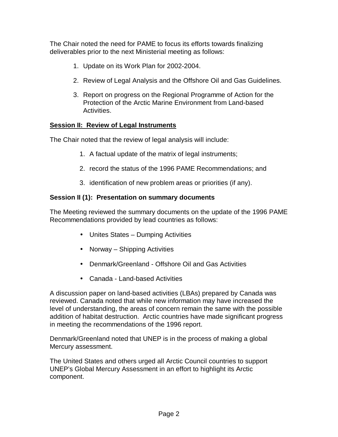The Chair noted the need for PAME to focus its efforts towards finalizing deliverables prior to the next Ministerial meeting as follows:

- 1. Update on its Work Plan for 2002-2004.
- 2. Review of Legal Analysis and the Offshore Oil and Gas Guidelines.
- 3. Report on progress on the Regional Programme of Action for the Protection of the Arctic Marine Environment from Land-based Activities.

# **Session II: Review of Legal Instruments**

The Chair noted that the review of legal analysis will include:

- 1. A factual update of the matrix of legal instruments;
- 2. record the status of the 1996 PAME Recommendations; and
- 3. identification of new problem areas or priorities (if any).

# **Session II (1): Presentation on summary documents**

The Meeting reviewed the summary documents on the update of the 1996 PAME Recommendations provided by lead countries as follows:

- Unites States Dumping Activities
- Norway Shipping Activities
- Denmark/Greenland Offshore Oil and Gas Activities
- Canada Land-based Activities

A discussion paper on land-based activities (LBAs) prepared by Canada was reviewed. Canada noted that while new information may have increased the level of understanding, the areas of concern remain the same with the possible addition of habitat destruction. Arctic countries have made significant progress in meeting the recommendations of the 1996 report.

Denmark/Greenland noted that UNEP is in the process of making a global Mercury assessment.

The United States and others urged all Arctic Council countries to support UNEP's Global Mercury Assessment in an effort to highlight its Arctic component.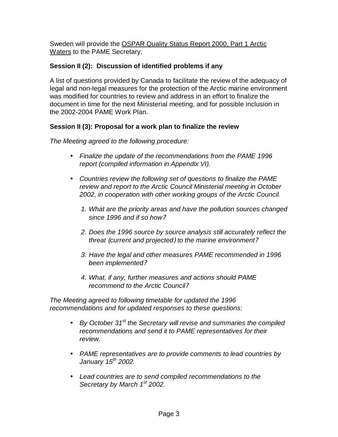Sweden will provide the OSPAR Quality Status Report 2000, Part 1 Arctic Waters to the PAME Secretary.

# **Session II (2): Discussion of identified problems if any**

A list of questions provided by Canada to facilitate the review of the adequacy of legal and non-legal measures for the protection of the Arctic marine environment was modified for countries to review and address in an effort to finalize the document in time for the next Ministerial meeting, and for possible inclusion in the 2002-2004 PAME Work Plan.

# **Session II (3): Proposal for a work plan to finalize the review**

The Meeting agreed to the following procedure:

- Finalize the update of the recommendations from the PAME 1996 report (compiled information in Appendix VI).
- Countries review the following set of questions to finalize the PAME review and report to the Arctic Council Ministerial meeting in October 2002, in cooperation with other working groups of the Arctic Council.
	- 1. What are the priority areas and have the pollution sources changed since 1996 and if so how?
	- 2. Does the 1996 source by source analysis still accurately reflect the threat (current and projected) to the marine environment?
	- 3. Have the legal and other measures PAME recommended in 1996 been implemented?
	- 4. What, if any, further measures and actions should PAME recommend to the Arctic Council?

The Meeting agreed to following timetable for updated the 1996 recommendations and for updated responses to these questions:

- $\bullet$  By October 31<sup>st</sup> the Secretary will revise and summaries the compiled recommendations and send it to PAME representatives for their review.
- PAME representatives are to provide comments to lead countries by January 15<sup>th</sup> 2002.
- Lead countries are to send compiled recommendations to the Secretary by March 1<sup>st</sup> 2002.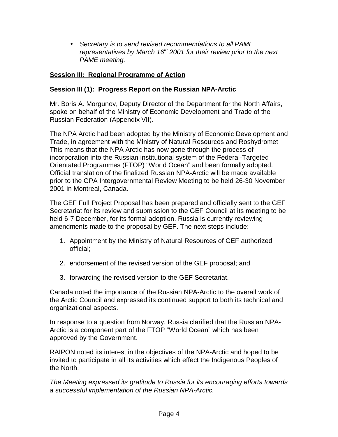• Secretary is to send revised recommendations to all PAME representatives by March 16<sup>th</sup> 2001 for their review prior to the next PAME meeting.

# **Session III: Regional Programme of Action**

# **Session III (1): Progress Report on the Russian NPA-Arctic**

Mr. Boris A. Morgunov, Deputy Director of the Department for the North Affairs, spoke on behalf of the Ministry of Economic Development and Trade of the Russian Federation (Appendix VII).

The NPA Arctic had been adopted by the Ministry of Economic Development and Trade, in agreement with the Ministry of Natural Resources and Roshydromet This means that the NPA Arctic has now gone through the process of incorporation into the Russian institutional system of the Federal-Targeted Orientated Programmes (FTOP) "World Ocean" and been formally adopted. Official translation of the finalized Russian NPA-Arctic will be made available prior to the GPA Intergovernmental Review Meeting to be held 26-30 November 2001 in Montreal, Canada.

The GEF Full Project Proposal has been prepared and officially sent to the GEF Secretariat for its review and submission to the GEF Council at its meeting to be held 6-7 December, for its formal adoption. Russia is currently reviewing amendments made to the proposal by GEF. The next steps include:

- 1. Appointment by the Ministry of Natural Resources of GEF authorized official;
- 2. endorsement of the revised version of the GEF proposal; and
- 3. forwarding the revised version to the GEF Secretariat.

Canada noted the importance of the Russian NPA-Arctic to the overall work of the Arctic Council and expressed its continued support to both its technical and organizational aspects.

In response to a question from Norway, Russia clarified that the Russian NPA-Arctic is a component part of the FTOP "World Ocean" which has been approved by the Government.

RAIPON noted its interest in the objectives of the NPA-Arctic and hoped to be invited to participate in all its activities which effect the Indigenous Peoples of the North.

The Meeting expressed its gratitude to Russia for its encouraging efforts towards a successful implementation of the Russian NPA-Arctic.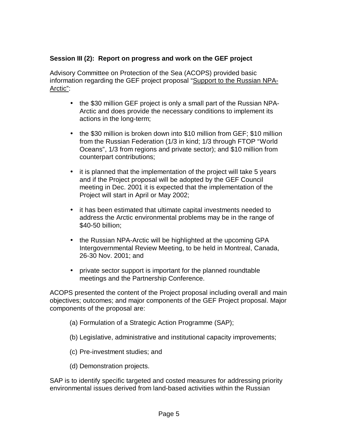# **Session III (2): Report on progress and work on the GEF project**

Advisory Committee on Protection of the Sea (ACOPS) provided basic information regarding the GEF project proposal "Support to the Russian NPA-Arctic":

- the \$30 million GEF project is only a small part of the Russian NPA-Arctic and does provide the necessary conditions to implement its actions in the long-term;
- the \$30 million is broken down into \$10 million from GEF; \$10 million from the Russian Federation (1/3 in kind; 1/3 through FTOP "World Oceans", 1/3 from regions and private sector); and \$10 million from counterpart contributions;
- it is planned that the implementation of the project will take 5 years and if the Project proposal will be adopted by the GEF Council meeting in Dec. 2001 it is expected that the implementation of the Project will start in April or May 2002;
- it has been estimated that ultimate capital investments needed to address the Arctic environmental problems may be in the range of \$40-50 billion;
- the Russian NPA-Arctic will be highlighted at the upcoming GPA Intergovernmental Review Meeting, to be held in Montreal, Canada, 26-30 Nov. 2001; and
- private sector support is important for the planned roundtable meetings and the Partnership Conference.

ACOPS presented the content of the Project proposal including overall and main objectives; outcomes; and major components of the GEF Project proposal. Major components of the proposal are:

- (a) Formulation of a Strategic Action Programme (SAP);
- (b) Legislative, administrative and institutional capacity improvements;
- (c) Pre-investment studies; and
- (d) Demonstration projects.

SAP is to identify specific targeted and costed measures for addressing priority environmental issues derived from land-based activities within the Russian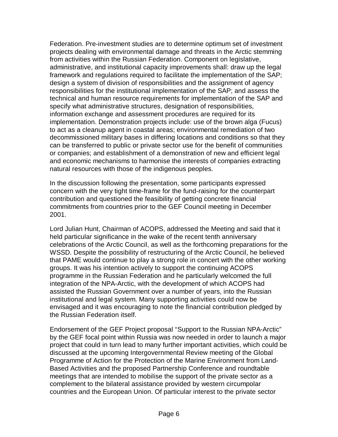Federation. Pre-investment studies are to determine optimum set of investment projects dealing with environmental damage and threats in the Arctic stemming from activities within the Russian Federation. Component on legislative, administrative, and institutional capacity improvements shall: draw up the legal framework and regulations required to facilitate the implementation of the SAP; design a system of division of responsibilities and the assignment of agency responsibilities for the institutional implementation of the SAP; and assess the technical and human resource requirements for implementation of the SAP and specify what administrative structures, designation of responsibilities, information exchange and assessment procedures are required for its implementation. Demonstration projects include: use of the brown alga (Fucus) to act as a cleanup agent in coastal areas; environmental remediation of two decommissioned military bases in differing locations and conditions so that they can be transferred to public or private sector use for the benefit of communities or companies; and establishment of a demonstration of new and efficient legal and economic mechanisms to harmonise the interests of companies extracting natural resources with those of the indigenous peoples.

In the discussion following the presentation, some participants expressed concern with the very tight time-frame for the fund-raising for the counterpart contribution and questioned the feasibility of getting concrete financial commitments from countries prior to the GEF Council meeting in December 2001.

Lord Julian Hunt, Chairman of ACOPS, addressed the Meeting and said that it held particular significance in the wake of the recent tenth anniversary celebrations of the Arctic Council, as well as the forthcoming preparations for the WSSD. Despite the possibility of restructuring of the Arctic Council, he believed that PAME would continue to play a strong role in concert with the other working groups. It was his intention actively to support the continuing ACOPS programme in the Russian Federation and he particularly welcomed the full integration of the NPA-Arctic, with the development of which ACOPS had assisted the Russian Government over a number of years, into the Russian institutional and legal system. Many supporting activities could now be envisaged and it was encouraging to note the financial contribution pledged by the Russian Federation itself.

Endorsement of the GEF Project proposal "Support to the Russian NPA-Arctic" by the GEF focal point within Russia was now needed in order to launch a major project that could in turn lead to many further important activities, which could be discussed at the upcoming Intergovernmental Review meeting of the Global Programme of Action for the Protection of the Marine Environment from Land-Based Activities and the proposed Partnership Conference and roundtable meetings that are intended to mobilise the support of the private sector as a complement to the bilateral assistance provided by western circumpolar countries and the European Union. Of particular interest to the private sector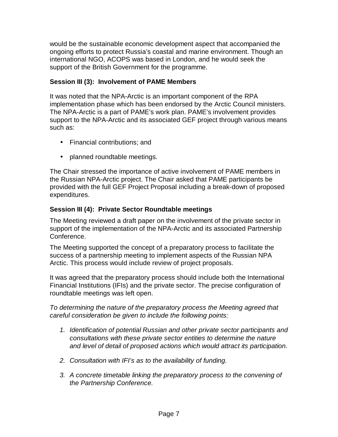would be the sustainable economic development aspect that accompanied the ongoing efforts to protect Russia's coastal and marine environment. Though an international NGO, ACOPS was based in London, and he would seek the support of the British Government for the programme.

# **Session III (3): Involvement of PAME Members**

It was noted that the NPA-Arctic is an important component of the RPA implementation phase which has been endorsed by the Arctic Council ministers. The NPA-Arctic is a part of PAME's work plan. PAME's involvement provides support to the NPA-Arctic and its associated GEF project through various means such as:

- Financial contributions; and
- planned roundtable meetings.

The Chair stressed the importance of active involvement of PAME members in the Russian NPA-Arctic project. The Chair asked that PAME participants be provided with the full GEF Project Proposal including a break-down of proposed expenditures.

# **Session III (4): Private Sector Roundtable meetings**

The Meeting reviewed a draft paper on the involvement of the private sector in support of the implementation of the NPA-Arctic and its associated Partnership Conference.

The Meeting supported the concept of a preparatory process to facilitate the success of a partnership meeting to implement aspects of the Russian NPA Arctic. This process would include review of project proposals.

It was agreed that the preparatory process should include both the International Financial Institutions (IFIs) and the private sector. The precise configuration of roundtable meetings was left open.

To determining the nature of the preparatory process the Meeting agreed that careful consideration be given to include the following points:

- 1. Identification of potential Russian and other private sector participants and consultations with these private sector entities to determine the nature and level of detail of proposed actions which would attract its participation.
- 2. Consultation with IFI's as to the availability of funding.
- 3. A concrete timetable linking the preparatory process to the convening of the Partnership Conference.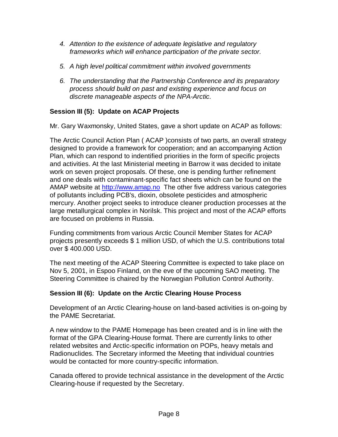- 4. Attention to the existence of adequate legislative and regulatory frameworks which will enhance participation of the private sector.
- 5. A high level political commitment within involved governments
- 6. The understanding that the Partnership Conference and its preparatory process should build on past and existing experience and focus on discrete manageable aspects of the NPA-Arctic.

# **Session III (5): Update on ACAP Projects**

Mr. Gary Waxmonsky, United States, gave a short update on ACAP as follows:

The Arctic Council Action Plan ( ACAP )consists of two parts, an overall strategy designed to provide a framework for cooperation; and an accompanying Action Plan, which can respond to indentified priorities in the form of specific projects and activities. At the last Ministerial meeting in Barrow it was decided to initate work on seven project proposals. Of these, one is pending further refinement and one deals with contaminant-specific fact sheets which can be found on the AMAP website at http://www.amap.no The other five address various categories of pollutants including PCB's, dioxin, obsolete pesticides and atmospheric mercury. Another project seeks to introduce cleaner production processes at the large metallurgical complex in Norilsk. This project and most of the ACAP efforts are focused on problems in Russia.

Funding commitments from various Arctic Council Member States for ACAP projects presently exceeds \$ 1 million USD, of which the U.S. contributions total over \$ 400.000 USD.

The next meeting of the ACAP Steering Committee is expected to take place on Nov 5, 2001, in Espoo Finland, on the eve of the upcoming SAO meeting. The Steering Committee is chaired by the Norwegian Pollution Control Authority.

# **Session III (6): Update on the Arctic Clearing House Process**

Development of an Arctic Clearing-house on land-based activities is on-going by the PAME Secretariat.

A new window to the PAME Homepage has been created and is in line with the format of the GPA Clearing-House format. There are currently links to other related websites and Arctic-specific information on POPs, heavy metals and Radionuclides. The Secretary informed the Meeting that individual countries would be contacted for more country-specific information.

Canada offered to provide technical assistance in the development of the Arctic Clearing-house if requested by the Secretary.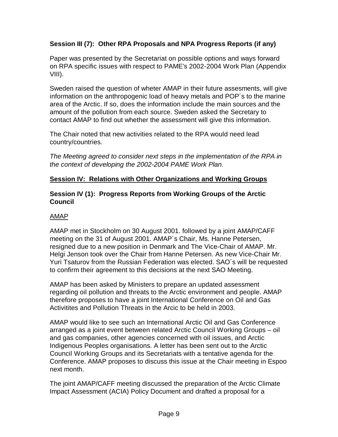# **Session III (7): Other RPA Proposals and NPA Progress Reports (if any)**

Paper was presented by the Secretariat on possible options and ways forward on RPA specific issues with respect to PAME's 2002-2004 Work Plan (Appendix VIII).

Sweden raised the question of wheter AMAP in their future assesments, will give information on the anthropogenic load of heavy metals and POP´s to the marine area of the Arctic. If so, does the information include the main sources and the amount of the pollution from each source. Sweden asked the Secretary to contact AMAP to find out whether the assessment will give this information.

The Chair noted that new activities related to the RPA would need lead country/countries.

The Meeting agreed to consider next steps in the implementation of the RPA in the context of developing the 2002-2004 PAME Work Plan.

# **Session IV: Relations with Other Organizations and Working Groups**

## **Session IV (1): Progress Reports from Working Groups of the Arctic Council**

# AMAP

AMAP met in Stockholm on 30 August 2001. followed by a joint AMAP/CAFF meeting on the 31 of August 2001. AMAP´s Chair, Ms. Hanne Petersen, resigned due to a new position in Denmark and The Vice-Chair of AMAP. Mr. Helgi Jenson took over the Chair from Hanne Petersen. As new Vice-Chair Mr. Yuri Tsaturov from the Russian Federation was elected. SAO´s will be requested to confirm their agreement to this decisions at the next SAO Meeting.

AMAP has been asked by Ministers to prepare an updated assessment regarding oil pollution and threats to the Arctic environment and people. AMAP therefore proposes to have a joint International Conference on Oil and Gas Activitites and Pollution Threats in the Arcic to be held in 2003.

AMAP would like to see such an International Arctic Oil and Gas Conference arranged as a joint event between related Arctic Council Working Groups – oil and gas companies, other agencies concerned with oil issues, and Arctic Indigenous Peoples organisations. A letter has been sent out to the Arctic Council Working Groups and its Secretariats with a tentative agenda for the Conference. AMAP proposes to discuss this issue at the Chair meeting in Espoo next month.

The joint AMAP/CAFF meeting discussed the preparation of the Arctic Climate Impact Assessment (ACIA) Policy Document and drafted a proposal for a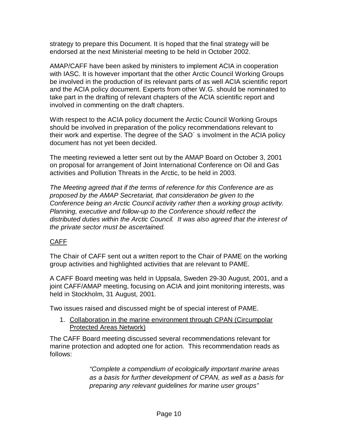strategy to prepare this Document. It is hoped that the final strategy will be endorsed at the next Ministerial meeting to be held in October 2002.

AMAP/CAFF have been asked by ministers to implement ACIA in cooperation with IASC. It is however important that the other Arctic Council Working Groups be involved in the production of its relevant parts of as well ACIA scientific report and the ACIA policy document. Experts from other W.G. should be nominated to take part in the drafting of relevant chapters of the ACIA scientific report and involved in commenting on the draft chapters.

With respect to the ACIA policy document the Arctic Council Working Groups should be involved in preparation of the policy recommendations relevant to their work and expertise. The degree of the SAO´ s involment in the ACIA policy document has not yet been decided.

The meeting reviewed a letter sent out by the AMAP Board on October 3, 2001 on proposal for arrangement of Joint International Conference on Oil and Gas activities and Pollution Threats in the Arctic, to be held in 2003.

The Meeting agreed that if the terms of reference for this Conference are as proposed by the AMAP Secretariat, that consideration be given to the Conference being an Arctic Council activity rather then a working group activity. Planning, executive and follow-up to the Conference should reflect the distributed duties within the Arctic Council. It was also agreed that the interest of the private sector must be ascertained.

# CAFF

The Chair of CAFF sent out a written report to the Chair of PAME on the working group activities and highlighted activities that are relevant to PAME.

A CAFF Board meeting was held in Uppsala, Sweden 29-30 August, 2001, and a joint CAFF/AMAP meeting, focusing on ACIA and joint monitoring interests, was held in Stockholm, 31 August, 2001.

Two issues raised and discussed might be of special interest of PAME.

1. Collaboration in the marine environment through CPAN (Circumpolar Protected Areas Network)

The CAFF Board meeting discussed several recommendations relevant for marine protection and adopted one for action. This recommendation reads as follows:

> "Complete a compendium of ecologically important marine areas as a basis for further development of CPAN, as well as a basis for preparing any relevant guidelines for marine user groups"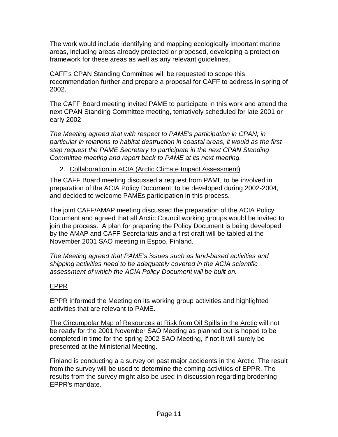The work would include identifying and mapping ecologically important marine areas, including areas already protected or proposed, developing a protection framework for these areas as well as any relevant guidelines.

CAFF's CPAN Standing Committee will be requested to scope this recommendation further and prepare a proposal for CAFF to address in spring of 2002.

The CAFF Board meeting invited PAME to participate in this work and attend the next CPAN Standing Committee meeting, tentatively scheduled for late 2001 or early 2002

The Meeting agreed that with respect to PAME's participation in CPAN, in particular in relations to habitat destruction in coastal areas, it would as the first step request the PAME Secretary to participate in the next CPAN Standing Committee meeting and report back to PAME at its next meeting.

# 2. Collaboration in ACIA (Arctic Climate Impact Assessment)

The CAFF Board meeting discussed a request from PAME to be involved in preparation of the ACIA Policy Document, to be developed during 2002-2004, and decided to welcome PAMEs participation in this process.

The joint CAFF/AMAP meeting discussed the preparation of the ACIA Policy Document and agreed that all Arctic Council working groups would be invited to join the process. A plan for preparing the Policy Document is being developed by the AMAP and CAFF Secretariats and a first draft will be tabled at the November 2001 SAO meeting in Espoo, Finland.

The Meeting agreed that PAME's issues such as land-based activities and shipping activities need to be adequately covered in the ACIA scientific assessment of which the ACIA Policy Document will be built on.

# EPPR

EPPR informed the Meeting on its working group activities and highlighted activities that are relevant to PAME.

The Circumpolar Map of Resources at Risk from Oil Spills in the Arctic will not be ready for the 2001 November SAO Meeting as planned but is hoped to be completed in time for the spring 2002 SAO Meeting, if not it will surely be presented at the Ministerial Meeting.

Finland is conducting a a survey on past major accidents in the Arctic. The result from the survey will be used to determine the coming activities of EPPR. The results from the survey might also be used in discussion regarding brodening EPPR's mandate.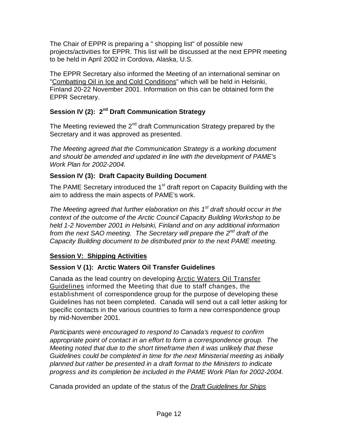The Chair of EPPR is preparing a " shopping list" of possible new projects/activities for EPPR. This list will be discussed at the next EPPR meeting to be held in April 2002 in Cordova, Alaska, U.S.

The EPPR Secretary also informed the Meeting of an international seminar on "Combatting Oil in Ice and Cold Conditions" which will be held in Helsinki, Finland 20-22 November 2001. Information on this can be obtained form the EPPR Secretary.

# **Session IV (2): 2<sup>nd</sup> Draft Communication Strategy**

The Meeting reviewed the  $2^{nd}$  draft Communication Strategy prepared by the Secretary and it was approved as presented.

The Meeting agreed that the Communication Strategy is a working document and should be amended and updated in line with the development of PAME's Work Plan for 2002-2004.

# **Session IV (3): Draft Capacity Building Document**

The PAME Secretary introduced the  $1<sup>st</sup>$  draft report on Capacity Building with the aim to address the main aspects of PAME's work.

The Meeting agreed that further elaboration on this  $1<sup>st</sup>$  draft should occur in the context of the outcome of the Arctic Council Capacity Building Workshop to be held 1-2 November 2001 in Helsinki, Finland and on any additional information from the next SAO meeting. The Secretary will prepare the  $2^{nd}$  draft of the Capacity Building document to be distributed prior to the next PAME meeting.

# **Session V: Shipping Activities**

# **Session V (1): Arctic Waters Oil Transfer Guidelines**

Canada as the lead country on developing Arctic Waters Oil Transfer Guidelines informed the Meeting that due to staff changes, the establishment of correspondence group for the purpose of developing these Guidelines has not been completed. Canada will send out a call letter asking for specific contacts in the various countries to form a new correspondence group by mid-November 2001.

Participants were encouraged to respond to Canada's request to confirm appropriate point of contact in an effort to form a correspondence group. The Meeting noted that due to the short timeframe then it was unlikely that these Guidelines could be completed in time for the next Ministerial meeting as initially planned but rather be presented in a draft format to the Ministers to indicate progress and its completion be included in the PAME Work Plan for 2002-2004.

Canada provided an update of the status of the Draft Guidelines for Ships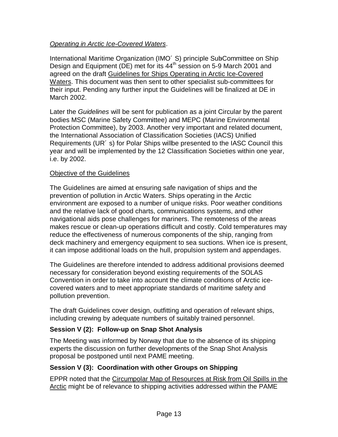# Operating in Arctic Ice-Covered Waters.

International Maritime Organization (IMO<sup>'</sup> S) principle SubCommittee on Ship Design and Equipment (DE) met for its  $44<sup>th</sup>$  session on 5-9 March 2001 and agreed on the draft Guidelines for Ships Operating in Arctic Ice-Covered Waters. This document was then sent to other specialist sub-committees for their input. Pending any further input the Guidelines will be finalized at DE in March 2002.

Later the Guidelines will be sent for publication as a joint Circular by the parent bodies MSC (Marine Safety Committee) and MEPC (Marine Environmental Protection Committee), by 2003. Another very important and related document, the International Association of Classification Societies (IACS) Unified Requirements (UR´ s) for Polar Ships willbe presented to the IASC Council this year and will be implemented by the 12 Classification Societies within one year, i.e. by 2002.

# Objective of the Guidelines

The Guidelines are aimed at ensuring safe navigation of ships and the prevention of pollution in Arctic Waters. Ships operating in the Arctic environment are exposed to a number of unique risks. Poor weather conditions and the relative lack of good charts, communications systems, and other navigational aids pose challenges for mariners. The remoteness of the areas makes rescue or clean-up operations difficult and costly. Cold temperatures may reduce the effectiveness of numerous components of the ship, ranging from deck machinery and emergency equipment to sea suctions. When ice is present, it can impose additional loads on the hull, propulsion system and appendages.

The Guidelines are therefore intended to address additional provisions deemed necessary for consideration beyond existing requirements of the SOLAS Convention in order to take into account the climate conditions of Arctic icecovered waters and to meet appropriate standards of maritime safety and pollution prevention.

The draft Guidelines cover design, outfitting and operation of relevant ships, including crewing by adequate numbers of suitably trained personnel.

# **Session V (2): Follow-up on Snap Shot Analysis**

The Meeting was informed by Norway that due to the absence of its shipping experts the discussion on further developments of the Snap Shot Analysis proposal be postponed until next PAME meeting.

# **Session V (3): Coordination with other Groups on Shipping**

EPPR noted that the Circumpolar Map of Resources at Risk from Oil Spills in the Arctic might be of relevance to shipping activities addressed within the PAME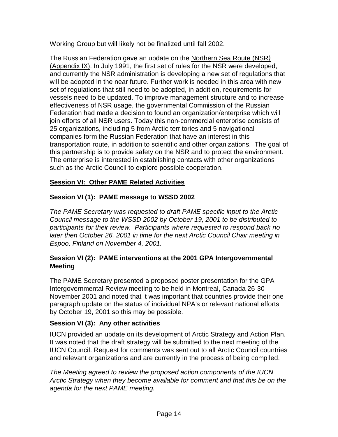Working Group but will likely not be finalized until fall 2002.

The Russian Federation gave an update on the Northern Sea Route (NSR) (Appendix IX). In July 1991, the first set of rules for the NSR were developed, and currently the NSR administration is developing a new set of regulations that will be adopted in the near future. Further work is needed in this area with new set of regulations that still need to be adopted, in addition, requirements for vessels need to be updated. To improve management structure and to increase effectiveness of NSR usage, the governmental Commission of the Russian Federation had made a decision to found an organization/enterprise which will join efforts of all NSR users. Today this non-commercial enterprise consists of 25 organizations, including 5 from Arctic territories and 5 navigational companies form the Russian Federation that have an interest in this transportation route, in addition to scientific and other organizations. The goal of this partnership is to provide safety on the NSR and to protect the environment. The enterprise is interested in establishing contacts with other organizations such as the Arctic Council to explore possible cooperation.

# **Session VI: Other PAME Related Activities**

# **Session VI (1): PAME message to WSSD 2002**

The PAME Secretary was requested to draft PAME specific input to the Arctic Council message to the WSSD 2002 by October 19, 2001 to be distributed to participants for their review. Participants where requested to respond back no later then October 26, 2001 in time for the next Arctic Council Chair meeting in Espoo, Finland on November 4, 2001.

# **Session VI (2): PAME interventions at the 2001 GPA Intergovernmental Meeting**

The PAME Secretary presented a proposed poster presentation for the GPA Intergovernmental Review meeting to be held in Montreal, Canada 26-30 November 2001 and noted that it was important that countries provide their one paragraph update on the status of individual NPA's or relevant national efforts by October 19, 2001 so this may be possible.

# **Session VI (3): Any other activities**

IUCN provided an update on its development of Arctic Strategy and Action Plan. It was noted that the draft strategy will be submitted to the next meeting of the IUCN Council. Request for comments was sent out to all Arctic Council countries and relevant organizations and are currently in the process of being compiled.

The Meeting agreed to review the proposed action components of the IUCN Arctic Strategy when they become available for comment and that this be on the agenda for the next PAME meeting.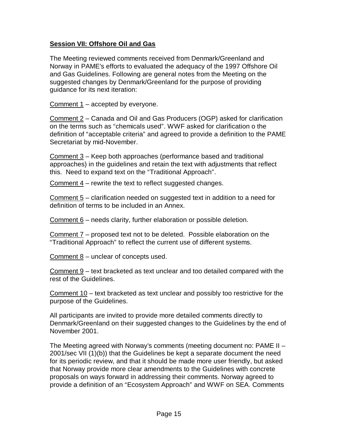# **Session VII: Offshore Oil and Gas**

The Meeting reviewed comments received from Denmark/Greenland and Norway in PAME's efforts to evaluated the adequacy of the 1997 Offshore Oil and Gas Guidelines. Following are general notes from the Meeting on the suggested changes by Denmark/Greenland for the purpose of providing guidance for its next iteration:

Comment 1 – accepted by everyone.

Comment 2 – Canada and Oil and Gas Producers (OGP) asked for clarification on the terms such as "chemicals used". WWF asked for clarification o the definition of "acceptable criteria" and agreed to provide a definition to the PAME Secretariat by mid-November.

Comment 3 – Keep both approaches (performance based and traditional approaches) in the guidelines and retain the text with adjustments that reflect this. Need to expand text on the "Traditional Approach".

Comment 4 – rewrite the text to reflect suggested changes.

Comment 5 – clarification needed on suggested text in addition to a need for definition of terms to be included in an Annex.

Comment 6 – needs clarity, further elaboration or possible deletion.

Comment 7 – proposed text not to be deleted. Possible elaboration on the "Traditional Approach" to reflect the current use of different systems.

Comment  $8$  – unclear of concepts used.

Comment 9 – text bracketed as text unclear and too detailed compared with the rest of the Guidelines.

Comment 10 – text bracketed as text unclear and possibly too restrictive for the purpose of the Guidelines.

All participants are invited to provide more detailed comments directly to Denmark/Greenland on their suggested changes to the Guidelines by the end of November 2001.

The Meeting agreed with Norway's comments (meeting document no: PAME II – 2001/sec VII (1)(b)) that the Guidelines be kept a separate document the need for its periodic review, and that it should be made more user friendly, but asked that Norway provide more clear amendments to the Guidelines with concrete proposals on ways forward in addressing their comments. Norway agreed to provide a definition of an "Ecosystem Approach" and WWF on SEA. Comments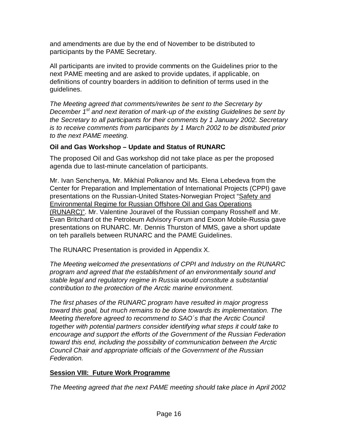and amendments are due by the end of November to be distributed to participants by the PAME Secretary.

All participants are invited to provide comments on the Guidelines prior to the next PAME meeting and are asked to provide updates, if applicable, on definitions of country boarders in addition to definition of terms used in the guidelines.

The Meeting agreed that comments/rewrites be sent to the Secretary by December  $1<sup>st</sup>$  and next iteration of mark-up of the existing Guidelines be sent by the Secretary to all participants for their comments by 1 January 2002. Secretary is to receive comments from participants by 1 March 2002 to be distributed prior to the next PAME meeting.

# **Oil and Gas Workshop – Update and Status of RUNARC**

The proposed Oil and Gas workshop did not take place as per the proposed agenda due to last-minute cancelation of participants.

Mr. Ivan Senchenya, Mr. Mikhial Polkanov and Ms. Elena Lebedeva from the Center for Preparation and Implementation of International Projects (CPPI) gave presentations on the Russian-United States-Norwegian Project "Safety and Environmental Regime for Russian Offshore Oil and Gas Operations (RUNARC)". Mr. Valentine Jouravel of the Russian company Rosshelf and Mr. Evan Britchard ot the Petroleum Advisory Forum and Exxon Mobile-Russia gave presentations on RUNARC. Mr. Dennis Thurston of MMS, gave a short update on teh parallels between RUNARC and the PAME Guidelines.

The RUNARC Presentation is provided in Appendix X.

The Meeting welcomed the presentations of CPPI and Industry on the RUNARC program and agreed that the establishment of an environmentally sound and stable legal and regulatory regime in Russia would constitute a substantial contribution to the protection of the Arctic marine environment.

The first phases of the RUNARC program have resulted in major progress toward this goal, but much remains to be done towards its implementation. The Meeting therefore agreed to recommend to SAO´s that the Arctic Council together with potential partners consider identifying what steps it could take to encourage and support the efforts of the Government of the Russian Federation toward this end, including the possibility of communication between the Arctic Council Chair and appropriate officials of the Government of the Russian Federation.

# **Session VIII: Future Work Programme**

The Meeting agreed that the next PAME meeting should take place in April 2002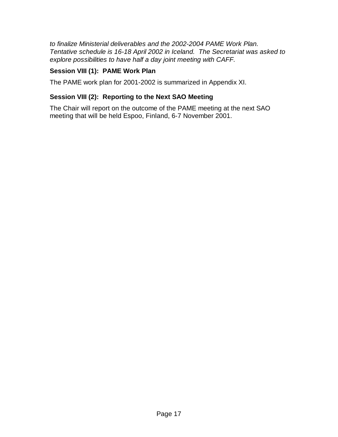to finalize Ministerial deliverables and the 2002-2004 PAME Work Plan. Tentative schedule is 16-18 April 2002 in Iceland. The Secretariat was asked to explore possibilities to have half a day joint meeting with CAFF.

# **Session VIII (1): PAME Work Plan**

The PAME work plan for 2001-2002 is summarized in Appendix XI.

# **Session VIII (2): Reporting to the Next SAO Meeting**

The Chair will report on the outcome of the PAME meeting at the next SAO meeting that will be held Espoo, Finland, 6-7 November 2001.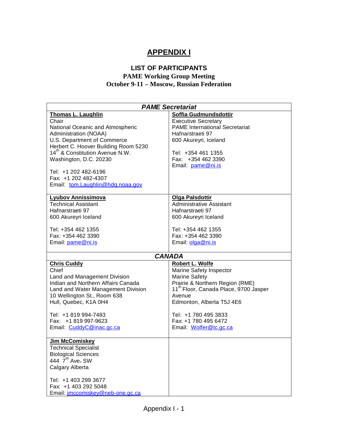# **APPENDIX I**

# **LIST OF PARTICIPANTS**

#### **PAME Working Group Meeting October 9-11 – Moscow, Russian Federation**

| <b>PAME Secretariat</b>                                            |                                                         |  |
|--------------------------------------------------------------------|---------------------------------------------------------|--|
| <b>Thomas L. Laughlin</b>                                          | Soffia Gudmundsdottir                                   |  |
| Chair                                                              | <b>Executive Secretary</b>                              |  |
| National Oceanic and Atmospheric                                   | <b>PAME International Secretariat</b>                   |  |
| <b>Administration (NOAA)</b>                                       | Hafnarstraeti 97                                        |  |
| U.S. Department of Commerce                                        | 600 Akureyri, Iceland                                   |  |
| Herbert C. Hoover Building Room 5230                               |                                                         |  |
| 14 <sup>th</sup> & Constitution Avenue N.W.                        | Tel: +354 461 1355                                      |  |
| Washington, D.C. 20230                                             | Fax: +354 462 3390                                      |  |
|                                                                    | Email: pame@ni.is                                       |  |
| Tel: +1 202 482-6196                                               |                                                         |  |
| Fax: +1 202 482-4307                                               |                                                         |  |
| Email: tom.Laughlin@hdq.noaa.gov                                   |                                                         |  |
| <b>Lyubov Annissimova</b>                                          | Olga Palsdottir                                         |  |
| <b>Technical Assistant</b>                                         | <b>Administrative Assistant</b>                         |  |
| Hafnarstraeti 97                                                   | Hafnarstraeti 97                                        |  |
| 600 Akureyri Iceland                                               | 600 Akureyri Iceland                                    |  |
| Tel: +354 462 1355                                                 | Tel: +354 462 1355                                      |  |
| Fax: +354 462 3390                                                 | Fax: +354 462 3390                                      |  |
| Email: pame@ni.is                                                  | Email: olga@ni.is                                       |  |
|                                                                    |                                                         |  |
|                                                                    | <b>CANADA</b>                                           |  |
| <b>Chris Cuddy</b>                                                 | Robert L. Wolfe                                         |  |
| Chief                                                              | Marine Safety Inspector                                 |  |
| Land and Management Division<br>Indian and Northern Affairs Canada | <b>Marine Safety</b><br>Prairie & Northern Region (RME) |  |
| Land and Water Management Division                                 | 11 <sup>th</sup> Floor, Canada Place, 9700 Jasper       |  |
| 10 Wellington St., Room 638                                        | Avenue                                                  |  |
| Hull, Quebec, K1A 0H4                                              | Edmonton, Alberta T5J 4E6                               |  |
|                                                                    |                                                         |  |
| Tel: +1 819 994-7483                                               | Tel: +1 780 495 3833                                    |  |
| Fax: +1 819 997-9623                                               | Fax: +1 780 495 6472                                    |  |
| Email: CuddyC@inac.gc.ca                                           | Email: Wolfer@tc.gc.ca                                  |  |
| Jim McComiskey                                                     |                                                         |  |
| <b>Technical Specialist</b>                                        |                                                         |  |
| <b>Biological Sciences</b>                                         |                                                         |  |
| 444 7 <sup>th</sup> Ave. SW                                        |                                                         |  |
| Calgary Alberta                                                    |                                                         |  |
|                                                                    |                                                         |  |
| Tel: +1 403 299 3677                                               |                                                         |  |
| Fax: +1 403 292 5048<br>Email: <i>imccomiskey@neb-one.gc.ca</i>    |                                                         |  |
|                                                                    |                                                         |  |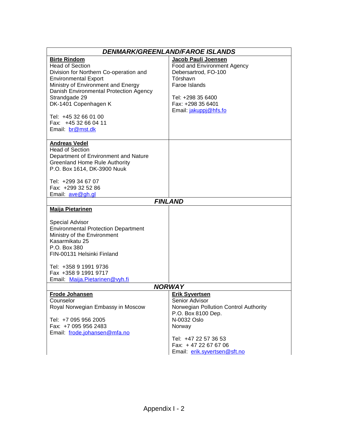| <b>Birte Rindom</b><br>Jacob Pauli Joensen<br><b>Head of Section</b><br>Food and Environment Agency<br>Debersartrod, FO-100<br>Division for Northern Co-operation and<br>Tórshavn<br><b>Environmental Export</b><br>Ministry of Environment and Energy<br>Faroe Islands<br>Danish Environmental Protection Agency<br>Strandgade 29<br>Tel: +298 35 6400<br>DK-1401 Copenhagen K<br>Fax: +298 35 6401<br>Email: jakuppj@hfs.fo<br>Tel: +45 32 66 01 00<br>Fax: +45 32 66 04 11<br>Email: br@mst.dk<br><b>Andreas Vedel</b><br><b>Head of Section</b><br>Department of Environment and Nature<br><b>Greenland Home Rule Authority</b><br>P.O. Box 1614, DK-3900 Nuuk<br>Tel: +299 34 67 07<br>Fax: +299 32 52 86<br>Email: ave@gh.gl<br><b>FINLAND</b><br><b>Maija Pietarinen</b><br><b>Special Advisor</b><br><b>Environmental Protection Department</b><br>Ministry of the Environment<br>Kasarmikatu 25<br>P.O. Box 380<br>FIN-00131 Helsinki Finland<br>Tel: +358 9 1991 9736<br>Fax +358 9 1991 9717 | <b>DENMARK/GREENLAND/FAROE ISLANDS</b> |  |  |
|---------------------------------------------------------------------------------------------------------------------------------------------------------------------------------------------------------------------------------------------------------------------------------------------------------------------------------------------------------------------------------------------------------------------------------------------------------------------------------------------------------------------------------------------------------------------------------------------------------------------------------------------------------------------------------------------------------------------------------------------------------------------------------------------------------------------------------------------------------------------------------------------------------------------------------------------------------------------------------------------------------|----------------------------------------|--|--|
|                                                                                                                                                                                                                                                                                                                                                                                                                                                                                                                                                                                                                                                                                                                                                                                                                                                                                                                                                                                                         |                                        |  |  |
|                                                                                                                                                                                                                                                                                                                                                                                                                                                                                                                                                                                                                                                                                                                                                                                                                                                                                                                                                                                                         |                                        |  |  |
|                                                                                                                                                                                                                                                                                                                                                                                                                                                                                                                                                                                                                                                                                                                                                                                                                                                                                                                                                                                                         |                                        |  |  |
|                                                                                                                                                                                                                                                                                                                                                                                                                                                                                                                                                                                                                                                                                                                                                                                                                                                                                                                                                                                                         |                                        |  |  |
|                                                                                                                                                                                                                                                                                                                                                                                                                                                                                                                                                                                                                                                                                                                                                                                                                                                                                                                                                                                                         |                                        |  |  |
|                                                                                                                                                                                                                                                                                                                                                                                                                                                                                                                                                                                                                                                                                                                                                                                                                                                                                                                                                                                                         |                                        |  |  |
|                                                                                                                                                                                                                                                                                                                                                                                                                                                                                                                                                                                                                                                                                                                                                                                                                                                                                                                                                                                                         |                                        |  |  |
|                                                                                                                                                                                                                                                                                                                                                                                                                                                                                                                                                                                                                                                                                                                                                                                                                                                                                                                                                                                                         |                                        |  |  |
|                                                                                                                                                                                                                                                                                                                                                                                                                                                                                                                                                                                                                                                                                                                                                                                                                                                                                                                                                                                                         |                                        |  |  |
|                                                                                                                                                                                                                                                                                                                                                                                                                                                                                                                                                                                                                                                                                                                                                                                                                                                                                                                                                                                                         |                                        |  |  |
|                                                                                                                                                                                                                                                                                                                                                                                                                                                                                                                                                                                                                                                                                                                                                                                                                                                                                                                                                                                                         |                                        |  |  |
|                                                                                                                                                                                                                                                                                                                                                                                                                                                                                                                                                                                                                                                                                                                                                                                                                                                                                                                                                                                                         |                                        |  |  |
|                                                                                                                                                                                                                                                                                                                                                                                                                                                                                                                                                                                                                                                                                                                                                                                                                                                                                                                                                                                                         |                                        |  |  |
|                                                                                                                                                                                                                                                                                                                                                                                                                                                                                                                                                                                                                                                                                                                                                                                                                                                                                                                                                                                                         |                                        |  |  |
|                                                                                                                                                                                                                                                                                                                                                                                                                                                                                                                                                                                                                                                                                                                                                                                                                                                                                                                                                                                                         |                                        |  |  |
|                                                                                                                                                                                                                                                                                                                                                                                                                                                                                                                                                                                                                                                                                                                                                                                                                                                                                                                                                                                                         |                                        |  |  |
|                                                                                                                                                                                                                                                                                                                                                                                                                                                                                                                                                                                                                                                                                                                                                                                                                                                                                                                                                                                                         |                                        |  |  |
|                                                                                                                                                                                                                                                                                                                                                                                                                                                                                                                                                                                                                                                                                                                                                                                                                                                                                                                                                                                                         |                                        |  |  |
|                                                                                                                                                                                                                                                                                                                                                                                                                                                                                                                                                                                                                                                                                                                                                                                                                                                                                                                                                                                                         |                                        |  |  |
|                                                                                                                                                                                                                                                                                                                                                                                                                                                                                                                                                                                                                                                                                                                                                                                                                                                                                                                                                                                                         |                                        |  |  |
|                                                                                                                                                                                                                                                                                                                                                                                                                                                                                                                                                                                                                                                                                                                                                                                                                                                                                                                                                                                                         |                                        |  |  |
|                                                                                                                                                                                                                                                                                                                                                                                                                                                                                                                                                                                                                                                                                                                                                                                                                                                                                                                                                                                                         |                                        |  |  |
|                                                                                                                                                                                                                                                                                                                                                                                                                                                                                                                                                                                                                                                                                                                                                                                                                                                                                                                                                                                                         |                                        |  |  |
|                                                                                                                                                                                                                                                                                                                                                                                                                                                                                                                                                                                                                                                                                                                                                                                                                                                                                                                                                                                                         |                                        |  |  |
|                                                                                                                                                                                                                                                                                                                                                                                                                                                                                                                                                                                                                                                                                                                                                                                                                                                                                                                                                                                                         |                                        |  |  |
|                                                                                                                                                                                                                                                                                                                                                                                                                                                                                                                                                                                                                                                                                                                                                                                                                                                                                                                                                                                                         |                                        |  |  |
|                                                                                                                                                                                                                                                                                                                                                                                                                                                                                                                                                                                                                                                                                                                                                                                                                                                                                                                                                                                                         |                                        |  |  |
|                                                                                                                                                                                                                                                                                                                                                                                                                                                                                                                                                                                                                                                                                                                                                                                                                                                                                                                                                                                                         |                                        |  |  |
|                                                                                                                                                                                                                                                                                                                                                                                                                                                                                                                                                                                                                                                                                                                                                                                                                                                                                                                                                                                                         |                                        |  |  |
|                                                                                                                                                                                                                                                                                                                                                                                                                                                                                                                                                                                                                                                                                                                                                                                                                                                                                                                                                                                                         |                                        |  |  |
|                                                                                                                                                                                                                                                                                                                                                                                                                                                                                                                                                                                                                                                                                                                                                                                                                                                                                                                                                                                                         |                                        |  |  |
|                                                                                                                                                                                                                                                                                                                                                                                                                                                                                                                                                                                                                                                                                                                                                                                                                                                                                                                                                                                                         |                                        |  |  |
|                                                                                                                                                                                                                                                                                                                                                                                                                                                                                                                                                                                                                                                                                                                                                                                                                                                                                                                                                                                                         |                                        |  |  |
|                                                                                                                                                                                                                                                                                                                                                                                                                                                                                                                                                                                                                                                                                                                                                                                                                                                                                                                                                                                                         |                                        |  |  |
|                                                                                                                                                                                                                                                                                                                                                                                                                                                                                                                                                                                                                                                                                                                                                                                                                                                                                                                                                                                                         |                                        |  |  |
| Email: Maija.Pietarinen@vyh.fi                                                                                                                                                                                                                                                                                                                                                                                                                                                                                                                                                                                                                                                                                                                                                                                                                                                                                                                                                                          |                                        |  |  |
| <b>NORWAY</b>                                                                                                                                                                                                                                                                                                                                                                                                                                                                                                                                                                                                                                                                                                                                                                                                                                                                                                                                                                                           |                                        |  |  |
| <b>Frode Johansen</b><br><b>Erik Syvertsen</b>                                                                                                                                                                                                                                                                                                                                                                                                                                                                                                                                                                                                                                                                                                                                                                                                                                                                                                                                                          |                                        |  |  |
| Senior Advisor<br>Counselor                                                                                                                                                                                                                                                                                                                                                                                                                                                                                                                                                                                                                                                                                                                                                                                                                                                                                                                                                                             |                                        |  |  |
| Royal Norwegian Embassy in Moscow<br>Norwegian Pollution Control Authority                                                                                                                                                                                                                                                                                                                                                                                                                                                                                                                                                                                                                                                                                                                                                                                                                                                                                                                              |                                        |  |  |
| P.O. Box 8100 Dep.                                                                                                                                                                                                                                                                                                                                                                                                                                                                                                                                                                                                                                                                                                                                                                                                                                                                                                                                                                                      |                                        |  |  |
| N-0032 Oslo<br>Tel: +7 095 956 2005                                                                                                                                                                                                                                                                                                                                                                                                                                                                                                                                                                                                                                                                                                                                                                                                                                                                                                                                                                     |                                        |  |  |
| Fax: +7 095 956 2483<br>Norway                                                                                                                                                                                                                                                                                                                                                                                                                                                                                                                                                                                                                                                                                                                                                                                                                                                                                                                                                                          |                                        |  |  |
| Email: frode.johansen@mfa.no                                                                                                                                                                                                                                                                                                                                                                                                                                                                                                                                                                                                                                                                                                                                                                                                                                                                                                                                                                            |                                        |  |  |
| Tel: +47 22 57 36 53                                                                                                                                                                                                                                                                                                                                                                                                                                                                                                                                                                                                                                                                                                                                                                                                                                                                                                                                                                                    |                                        |  |  |
| Fax: +47 22 67 67 06                                                                                                                                                                                                                                                                                                                                                                                                                                                                                                                                                                                                                                                                                                                                                                                                                                                                                                                                                                                    |                                        |  |  |
| Email: erik.syvertsen@sft.no                                                                                                                                                                                                                                                                                                                                                                                                                                                                                                                                                                                                                                                                                                                                                                                                                                                                                                                                                                            |                                        |  |  |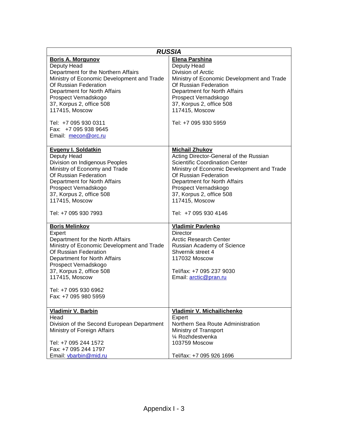| <b>RUSSIA</b>                                                                                                                                                                                                                                                                                                                      |                                                                                                                                                                                                                                                                                                               |  |
|------------------------------------------------------------------------------------------------------------------------------------------------------------------------------------------------------------------------------------------------------------------------------------------------------------------------------------|---------------------------------------------------------------------------------------------------------------------------------------------------------------------------------------------------------------------------------------------------------------------------------------------------------------|--|
| <b>Boris A. Morgunov</b><br>Deputy Head<br>Department for the Northern Affairs<br>Ministry of Economic Development and Trade<br>Of Russian Federation<br>Department for North Affairs<br>Prospect Vernadskogo<br>37, Korpus 2, office 508<br>117415, Moscow<br>Tel: +7 095 930 0311<br>Fax: +7 095 938 9645<br>Email: mecon@orc.ru | Elena Parshina<br>Deputy Head<br>Division of Arctic<br>Ministry of Economic Development and Trade<br>Of Russian Federation<br>Department for North Affairs<br>Prospect Vernadskogo<br>37, Korpus 2, office 508<br>117415, Moscow<br>Tel: +7 095 930 5959                                                      |  |
| <b>Evgeny I. Soldatkin</b><br>Deputy Head<br>Division on Indigenous Peoples<br>Ministry of Economy and Trade<br>Of Russian Federation<br>Department for North Affairs<br>Prospect Vernadskogo<br>37, Korpus 2, office 508<br>117415, Moscow<br>Tel: +7 095 930 7993                                                                | <b>Michail Zhukov</b><br>Acting Director-General of the Russian<br><b>Scientific Coordination Center</b><br>Ministry of Economic Development and Trade<br>Of Russian Federation<br>Department for North Affairs<br>Prospect Vernadskogo<br>37, Korpus 2, office 508<br>117415, Moscow<br>Tel: +7 095 930 4146 |  |
| <b>Boris Melinkov</b><br>Expert<br>Department for the North Affairs<br>Ministry of Economic Development and Trade<br>Of Russian Federation<br>Department for North Affairs<br>Prospect Vernadskogo<br>37, Korpus 2, office 508<br>117415, Moscow<br>Tel: +7 095 930 6962<br>Fax: +7 095 980 5959                                   | <b>Vladimir Pavlenko</b><br><b>Director</b><br><b>Arctic Research Center</b><br>Russian Academy of Science<br>Shvernik street 4<br>117032 Moscow<br>Tel/fax: +7 095 237 9030<br>Email: arctic@pran.ru                                                                                                         |  |
| <b>Vladimir V. Barbin</b><br>Head<br>Division of the Second European Department<br>Ministry of Foreign Affairs<br>Tel: +7 095 244 1572<br>Fax: +7 095 244 1797<br>Email: vbarbin@mid.ru                                                                                                                                            | Vladimir V. Michailichenko<br>Expert<br>Northern Sea Route Administration<br>Ministry of Transport<br>1/4 Rozhdestvenka<br>103759 Moscow<br>Tel/fax: +7 095 926 1696                                                                                                                                          |  |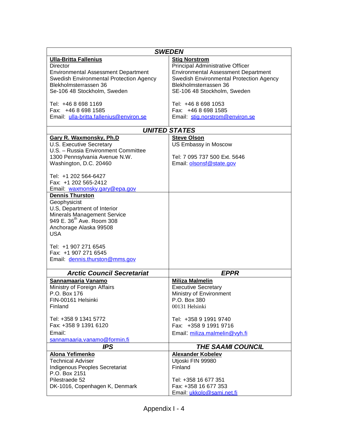| <b>SWEDEN</b>                              |                                            |  |
|--------------------------------------------|--------------------------------------------|--|
| <b>Ulla-Britta Fallenius</b>               | <b>Stig Norstrom</b>                       |  |
| <b>Director</b>                            | Principal Administrative Officer           |  |
| <b>Environmental Assessment Department</b> | <b>Environmental Assessment Department</b> |  |
| Swedish Environmental Protection Agency    | Swedish Environmental Protection Agency    |  |
| Blekholmsterrassen 36                      | Blekholmsterrassen 36                      |  |
| Se-106 48 Stockholm, Sweden                | SE-106 48 Stockholm, Sweden                |  |
|                                            |                                            |  |
| Tel: +46 8 698 1169                        | Tel: +46 8 698 1053                        |  |
| Fax: +46 8 698 1585                        | Fax: +46 8 698 1585                        |  |
| Email: ulla-britta.fallenius@environ.se    | Email stig.norstrom@environ.se             |  |
|                                            |                                            |  |
|                                            | <b>UNITED STATES</b>                       |  |
| <b>Gary R. Waxmonsky, Ph.D</b>             | <b>Steve Olson</b>                         |  |
| U.S. Executive Secretary                   | US Embassy in Moscow                       |  |
| U.S. - Russia Environment Committee        |                                            |  |
| 1300 Pennsylvania Avenue N.W.              | Tel: 7 095 737 500 Ext. 5646               |  |
| Washington, D.C. 20460                     | Email: olsonsf@state.gov                   |  |
|                                            |                                            |  |
| Tel: +1 202 564-6427                       |                                            |  |
| Fax: +1 202 565-2412                       |                                            |  |
| Email: waxmonsky.gary@epa.gov              |                                            |  |
| <b>Dennis Thurston</b>                     |                                            |  |
| Geophysicist                               |                                            |  |
| U.S, Department of Interior                |                                            |  |
| Minerals Management Service                |                                            |  |
| 949 E. 36 <sup>th</sup> Ave. Room 308      |                                            |  |
| Anchorage Alaska 99508                     |                                            |  |
| <b>USA</b>                                 |                                            |  |
|                                            |                                            |  |
| Tel: +1 907 271 6545                       |                                            |  |
| Fax: +1 907 271 6545                       |                                            |  |
| Email: dennis.thurston@mms.gov             |                                            |  |
| <b>Arctic Council Secretariat</b>          | <b>EPPR</b>                                |  |
| Sannamaaria Vanamo                         | <b>Miliza Malmelin</b>                     |  |
| Ministry of Foreign Affairs                | <b>Executive Secretary</b>                 |  |
| P.O. Box 176                               | Ministry of Environment                    |  |
| FIN-00161 Helsinki                         | P.O. Box 380                               |  |
| Finland                                    | 00131 Helsinki                             |  |
|                                            |                                            |  |
| Tel: +358 9 1341 5772                      | Tel: +358 9 1991 9740                      |  |
| Fax: +358 9 1391 6120                      | Fax: +358 9 1991 9716                      |  |
| Email:                                     | Email: miliza.malmelin@vyh.fi              |  |
| sannamaaria.vanamo@formin.fi               |                                            |  |
| <b>IPS</b>                                 | <b>THE SAAMI COUNCIL</b>                   |  |
| Alona Yefimenko                            | <b>Alexander Kobelev</b>                   |  |
| <b>Technical Adviser</b>                   | Utjoski FIN 99980                          |  |
| Indigenous Peoples Secretariat             | Finland                                    |  |
| P.O. Box 2151                              |                                            |  |
| Pilestraede 52                             | Tel: +358 16 677 351                       |  |
| DK-1016, Copenhagen K, Denmark             | Fax: +358 16 677 353                       |  |
|                                            | Email: ukkolo@sami.net.fi                  |  |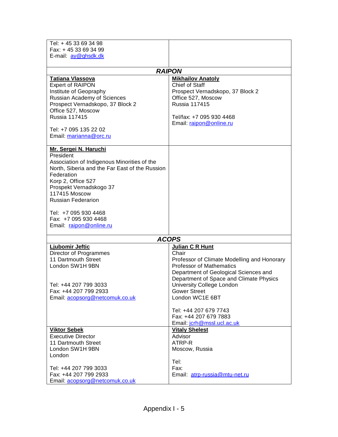| Tel: +45 33 69 34 98                                         |                                                                                |
|--------------------------------------------------------------|--------------------------------------------------------------------------------|
| Fax: +45 33 69 34 99                                         |                                                                                |
| E-mail: av@ghsdk.dk                                          |                                                                                |
|                                                              | <b>RAIPON</b>                                                                  |
| <b>Tatiana Vlassova</b>                                      | <b>Mikhailov Anatoly</b>                                                       |
| <b>Expert of RAIPON</b>                                      | Chief of Staff                                                                 |
| Institute of Geopraphy                                       | Prospect Vernadskopo, 37 Block 2                                               |
| Russian Academy of Sciences                                  | Office 527, Moscow                                                             |
| Prospect Vernadskopo, 37 Block 2                             | <b>Russia 117415</b>                                                           |
| Office 527, Moscow                                           |                                                                                |
| <b>Russia 117415</b>                                         | Tel/fax: +7 095 930 4468<br>Email: raipon@online.ru                            |
| Tel: +7 095 135 22 02                                        |                                                                                |
| Email: marianna@orc.ru                                       |                                                                                |
|                                                              |                                                                                |
| Mr. Sergei N. Haruchi                                        |                                                                                |
| President                                                    |                                                                                |
| Association of Indigenous Minorities of the                  |                                                                                |
| North, Siberia and the Far East of the Russion<br>Federation |                                                                                |
| Korp 2, Office 527                                           |                                                                                |
| Prospekt Vernadskogo 37                                      |                                                                                |
| <b>117415 Moscow</b>                                         |                                                                                |
| <b>Russian Federarion</b>                                    |                                                                                |
|                                                              |                                                                                |
| Tel: +7 095 930 4468                                         |                                                                                |
| Fax: +7 095 930 4468<br>Email: raipon@online.ru              |                                                                                |
|                                                              |                                                                                |
|                                                              | <b>ACOPS</b>                                                                   |
| Ljubomir Jeftic                                              | Julian C R Hunt                                                                |
| Director of Programmes                                       | Chair                                                                          |
| 11 Dartmouth Street<br>London SW1H 9BN                       | Professor of Climate Modelling and Honorary<br><b>Professor of Mathematics</b> |
|                                                              | Department of Geological Sciences and                                          |
|                                                              | Department of Space and Climate Physics                                        |
| Tel: +44 207 799 3033                                        | University College London                                                      |
| Fax: +44 207 799 2933                                        | <b>Gower Street</b>                                                            |
| Email: acopsorg@netcomuk.co.uk                               | London WC1E 6BT                                                                |
|                                                              | Tel: +44 207 679 7743                                                          |
|                                                              | Fax: +44 207 679 7883                                                          |
|                                                              | Email: jcrh@mssl.ucl.ac.uk                                                     |
| <b>Viktor Sebek</b>                                          | <b>Vitaly Shelest</b>                                                          |
| <b>Executive Director</b>                                    | Advisor                                                                        |
| 11 Dartmouth Street                                          | ATRP-R                                                                         |
| London SW1H 9BN                                              | Moscow, Russia                                                                 |
| London                                                       | Tel:                                                                           |
| Tel: +44 207 799 3033                                        | Fax:                                                                           |
| Fax: +44 207 799 2933                                        | Email: atrp-russia@mtu-net.ru                                                  |
| Email: acopsorg@netcomuk.co.uk                               |                                                                                |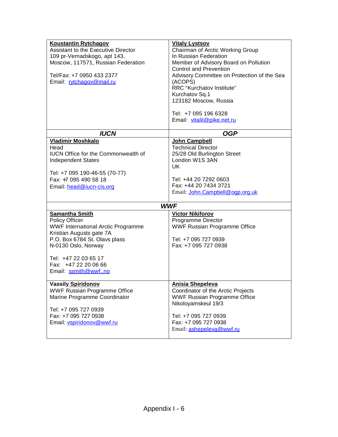| Koustantin Rytchagov<br>Assistant to the Executive Director<br>109 pr-Vernadskogo, apt 143,<br>Moscow, 117571, Russian Federation<br>Tel/Fax: +7 0950 433 2377<br>Email: rytchagov@mail.ru                                                      | <b>Vitaly Lystsov</b><br>Chairman of Arctic Working Group<br>In Russian Federation<br>Member of Advisory Board on Pollution<br><b>Control and Prevention</b><br>Advisory Committee on Protection of the Sea<br>(ACOPS)<br>RRC "Kurchatov Institute" |
|-------------------------------------------------------------------------------------------------------------------------------------------------------------------------------------------------------------------------------------------------|-----------------------------------------------------------------------------------------------------------------------------------------------------------------------------------------------------------------------------------------------------|
|                                                                                                                                                                                                                                                 | Kurchatov Sq.1<br>123182 Moscow, Russia<br>Tel: +7 095 196 6328<br>Email: vitalil@pike.net.ru                                                                                                                                                       |
| <b>IUCN</b>                                                                                                                                                                                                                                     | <b>OGP</b>                                                                                                                                                                                                                                          |
| <b>Vladimir Moshkalo</b><br>Head<br><b>IUCN Office for the Commonwealth of</b><br><b>Independent States</b><br>Tel: +7 095 190-46-55 (70-77)<br>Fax: +7 095 490 58 18<br>Email: head@iucn-cis.org                                               | John Campbell<br><b>Technical Director</b><br>25/28 Old Burlington Street<br>London W1S 3AN<br>UK.<br>Tel: +44 20 7292 0603<br>Fax: +44 20 7434 3721<br>Email: John.Campbell@ogp.org.uk                                                             |
|                                                                                                                                                                                                                                                 | <b>WWF</b>                                                                                                                                                                                                                                          |
| <b>Samantha Smith</b><br><b>Policy Officer</b><br>WWF International Arctic Programme<br>Kristian Augusts gate 7A<br>P.O. Box 6784 St. Olavs plass<br>N-0130 Oslo, Norway<br>Tel: +47 22 03 65 17<br>Fax: +47 22 20 06 66<br>Email: ssmith@wwfno | <b>Victor Nikiforov</b><br>Programme Director<br><b>WWF Russian Programme Office</b><br>Tel: +7 095 727 0939<br>Fax: +7 095 727 0938                                                                                                                |
| <b>Vassily Spiridonov</b><br><b>WWF Russian Programme Office</b><br>Marine Programme Coordinator<br>Tel: +7 095 727 0939<br>Fax: +7 095 727 0938<br>Email: vspiridonov@wwf.ru                                                                   | Anisia Shepeleva<br>Coordinator of the Arctic Projects<br>WWF Russian Programme Office<br>Nikoloyamskeul 19/3<br>Tel: +7 095 727 0939<br>Fax: +7 095 727 0938<br>Email: ashepeleva@wwf.ru                                                           |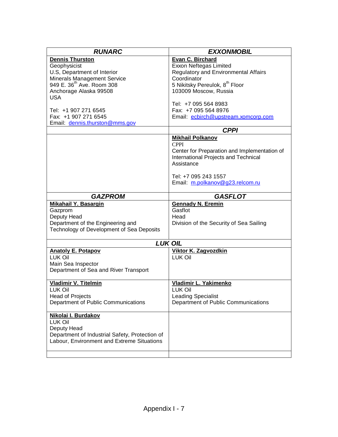| <b>RUNARC</b>                                  | <b>EXXONMOBIL</b>                             |
|------------------------------------------------|-----------------------------------------------|
| <b>Dennis Thurston</b>                         | Evan C. Birchard                              |
| Geophysicist                                   | Exxon Neftegas Limited                        |
| U.S, Department of Interior                    | Regulatory and Environmental Affairs          |
| Minerals Management Service                    | Coordinator                                   |
| 949 E. 36 <sup>th</sup> Ave. Room 308          | 5 Nikitsky Pereulok, 8 <sup>th</sup> Floor    |
| Anchorage Alaska 99508                         | 103009 Moscow, Russia                         |
| <b>USA</b>                                     |                                               |
|                                                | Tel: +7 095 564 8983                          |
| Tel: +1 907 271 6545                           | Fax: +7 095 564 8976                          |
| Fax: +1 907 271 6545                           | Email: ecbirch@upstream.xomcorp.com           |
| Email: dennis.thurston@mms.gov                 |                                               |
|                                                | <b>CPPI</b>                                   |
|                                                | <b>Mikhail Polkanov</b>                       |
|                                                | <b>CPPI</b>                                   |
|                                                | Center for Preparation and Implementation of  |
|                                                | International Projects and Technical          |
|                                                | Assistance                                    |
|                                                |                                               |
|                                                | Tel: +7 095 243 1557                          |
|                                                | Email: m.polkanov@g23.relcom.ru               |
|                                                |                                               |
| <b>GAZPROM</b>                                 | <b>GASFLOT</b>                                |
| <b>Mikahail Y. Basargin</b>                    | <b>Gennady N. Eremin</b>                      |
| Gazprom                                        | Gasflot                                       |
| Deputy Head                                    | Head                                          |
| Department of the Engineering and              | Division of the Security of Sea Sailing       |
| Technology of Development of Sea Deposits      |                                               |
|                                                | <b>LUK OIL</b>                                |
|                                                |                                               |
| <b>Anatoly E. Potapov</b><br>LUK Oil           | <b>Viktor K. Zagvozdkin</b><br><b>LUK Oil</b> |
| Main Sea Inspector                             |                                               |
| Department of Sea and River Transport          |                                               |
|                                                |                                               |
| <b>Vladimir V. Titelmin</b>                    | Vladimir L. Yakimenko                         |
| <b>LUK Oil</b>                                 | <b>LUK Oil</b>                                |
| <b>Head of Projects</b>                        | <b>Leading Specialist</b>                     |
| Department of Public Communications            | Department of Public Communications           |
|                                                |                                               |
| Nikolai I. Burdakov                            |                                               |
| <b>LUK Oil</b>                                 |                                               |
| Deputy Head                                    |                                               |
| Department of Industrial Safety, Protection of |                                               |
| Labour, Environment and Extreme Situations     |                                               |
|                                                |                                               |
|                                                |                                               |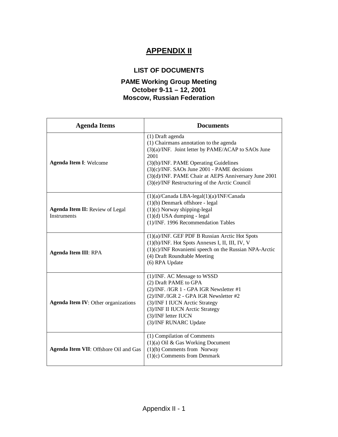# **APPENDIX II**

# **LIST OF DOCUMENTS**

# **PAME Working Group Meeting October 9-11 – 12, 2001 Moscow, Russian Federation**

| <b>Documents</b><br><b>Agenda Items</b>               |                                                                                                                                                                                                                                                                                                                               |
|-------------------------------------------------------|-------------------------------------------------------------------------------------------------------------------------------------------------------------------------------------------------------------------------------------------------------------------------------------------------------------------------------|
| <b>Agenda Item I: Welcome</b>                         | (1) Draft agenda<br>(1) Chairmans annotation to the agenda<br>(3)(a)/INF. Joint letter by PAME/ACAP to SAOs June<br>2001<br>$(3)(b)/INF$ . PAME Operating Guidelines<br>(3)(c)/INF. SAOs June 2001 - PAME decisions<br>(3)(d)/INF. PAME Chair at AEPS Anniversary June 2001<br>(3)(e)/INF Restructuring of the Arctic Council |
| Agenda Item II: Review of Legal<br><b>Instruments</b> | $(1)(a)/C$ anada LBA-legal $(1)(a)/INF/C$ anada<br>(1)(b) Denmark offshore - legal<br>$(1)(c)$ Norway shipping-legal<br>$(1)(d)$ USA dumping - legal<br>(1)/INF. 1996 Recommendation Tables                                                                                                                                   |
| <b>Agenda Item III: RPA</b>                           | (1)(a)/INF. GEF PDF B Russian Arctic Hot Spots<br>(1)(b)/INF. Hot Spots Annexes I, II, III, IV, V<br>$(1)(c)/INF$ Rovaniemi speech on the Russian NPA-Arctic<br>(4) Draft Roundtable Meeting<br>(6) RPA Update                                                                                                                |
| <b>Agenda Item IV: Other organizations</b>            | (1)/INF. AC Message to WSSD<br>(2) Draft PAME to GPA<br>(2)/INF. /IGR 1 - GPA IGR Newsletter #1<br>(2)/INF./IGR 2 - GPA IGR Newsletter #2<br>(3)/INF I IUCN Arctic Strategy<br>(3)/INF II IUCN Arctic Strategy<br>(3)/INF letter IUCN<br>(3)/INF RUNARC Update                                                                |
| Agenda Item VII: Offshore Oil and Gas                 | (1) Compilation of Comments<br>$(1)(a)$ Oil & Gas Working Document<br>$(1)(b)$ Comments from Norway<br>$(1)(c)$ Comments from Denmark                                                                                                                                                                                         |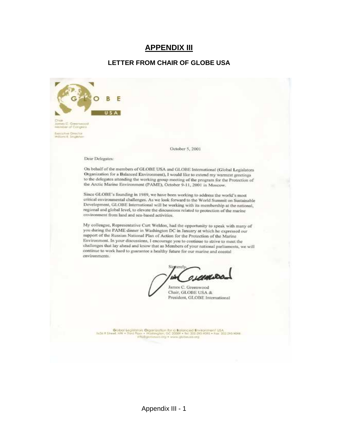# **APPENDIX III**

#### **LETTER FROM CHAIR OF GLOBE USA**

F **USA** October 5, 2001 Dear Delegates: On behalf of the members of GLOBE USA and GLOBE International (Global Legislators Organization for a Balanced Environment), I would like to extend my warmest greetings to the delegates attending the working group meeting of the program for the Protection of the Arctic Marine Environment (PAME), October 9-11, 2001 in Moscow. Since GLOBE's founding in 1989, we have been working to address the world's most critical environmental challenges. As we look forward to the World Summit on Sustainable Development, GLOBE International will be working with its membership at the national, regional and global level, to elevate the discussions related to protection of the marine environment from land and sea-based activities. My colleague, Representative Curt Weldon, had the opportunity to speak with many of you during the PAME dinner in Washington DC in January at which he expressed our support of the Russian National Plan of Action for the Protection of the Marine Environment. In your discussions, I encourage you to continue to strive to meet the challenges that lay ahead and know that as Members of your national parliaments, we will continue to work hard to guarantee a healthy future for our marine and coastal environments. Sincere **O LANKIDE** James C. Greenwood Chair, GLOBE USA & President, GLOBE International Quibal Legislators Organization for a Balanced Environment USA.<br>et NW + Ned Roor + Washington, OC 2009 + Nin 200 293 RORS + Fex 202 243 RORS **Letter Kin WWW.DESTING MARK DOLL #**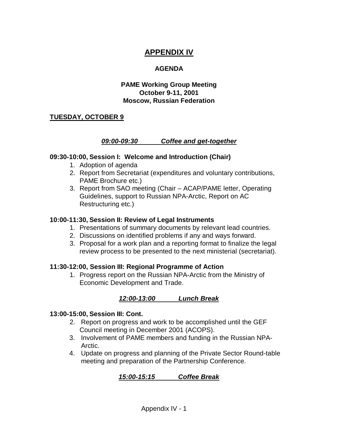# **APPENDIX IV**

## **AGENDA**

## **PAME Working Group Meeting October 9-11, 2001 Moscow, Russian Federation**

## **TUESDAY, OCTOBER 9**

#### **09:00-09:30 Coffee and get-together**

#### **09:30-10:00, Session I: Welcome and Introduction (Chair)**

- 1. Adoption of agenda
- 2. Report from Secretariat (expenditures and voluntary contributions, PAME Brochure etc.)
- 3. Report from SAO meeting (Chair ACAP/PAME letter, Operating Guidelines, support to Russian NPA-Arctic, Report on AC Restructuring etc.)

#### **10:00-11:30, Session II: Review of Legal Instruments**

- 1. Presentations of summary documents by relevant lead countries.
- 2. Discussions on identified problems if any and ways forward.
- 3. Proposal for a work plan and a reporting format to finalize the legal review process to be presented to the next ministerial (secretariat).

#### **11:30-12:00, Session III: Regional Programme of Action**

1. Progress report on the Russian NPA-Arctic from the Ministry of Economic Development and Trade.

# **12:00-13:00 Lunch Break**

#### **13:00-15:00, Session III: Cont.**

- 2. Report on progress and work to be accomplished until the GEF Council meeting in December 2001 (ACOPS).
- 3. Involvement of PAME members and funding in the Russian NPA-Arctic.
- 4. Update on progress and planning of the Private Sector Round-table meeting and preparation of the Partnership Conference.

# **15:00-15:15 Coffee Break**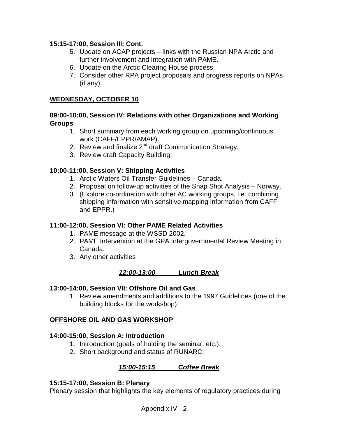## **15:15-17:00, Session III: Cont.**

- 5. Update on ACAP projects links with the Russian NPA Arctic and further involvement and integration with PAME.
- 6. Update on the Arctic Clearing House process.
- 7. Consider other RPA project proposals and progress reports on NPAs (if any).

## **WEDNESDAY, OCTOBER 10**

## **09:00-10:00, Session IV: Relations with other Organizations and Working Groups**

- 1. Short summary from each working group on upcoming/continuous work (CAFF/EPPR/AMAP).
- 2. Review and finalize 2<sup>nd</sup> draft Communication Strategy.
- 3. Review draft Capacity Building.

## **10:00-11:00, Session V: Shipping Activities**

- 1. Arctic Waters Oil Transfer Guidelines Canada.
- 2. Proposal on follow-up activities of the Snap Shot Analysis Norway.
- 3. (Explore co-ordination with other AC working groups, i.e. combining shipping information with sensitive mapping information from CAFF and EPPR.)

# **11:00-12:00, Session VI: Other PAME Related Activities**

- 1. PAME message at the WSSD 2002.
- 2. PAME Intervention at the GPA Intergovernmental Review Meeting in Canada.
- 3. Any other activities

#### **12:00-13:00 Lunch Break**

#### **13:00-14:00, Session VII: Offshore Oil and Gas**

1. Review amendments and additions to the 1997 Guidelines (one of the building blocks for the workshop).

# **OFFSHORE OIL AND GAS WORKSHOP**

#### **14:00-15:00, Session A: Introduction**

- 1. Introduction (goals of holding the seminar, etc.).
- 2. Short background and status of RUNARC.

# **15:00-15:15 Coffee Break**

#### **15:15-17:00, Session B: Plenary**

Plenary session that highlights the key elements of regulatory practices during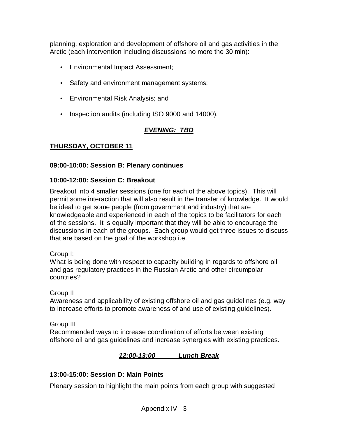planning, exploration and development of offshore oil and gas activities in the Arctic (each intervention including discussions no more the 30 min):

- Environmental Impact Assessment;
- Safety and environment management systems;
- Environmental Risk Analysis; and
- Inspection audits (including ISO 9000 and 14000).

# **EVENING: TBD**

# **THURSDAY, OCTOBER 11**

# **09:00-10:00: Session B: Plenary continues**

# **10:00-12:00: Session C: Breakout**

Breakout into 4 smaller sessions (one for each of the above topics). This will permit some interaction that will also result in the transfer of knowledge. It would be ideal to get some people (from government and industry) that are knowledgeable and experienced in each of the topics to be facilitators for each of the sessions. It is equally important that they will be able to encourage the discussions in each of the groups. Each group would get three issues to discuss that are based on the goal of the workshop i.e.

Group I:

What is being done with respect to capacity building in regards to offshore oil and gas regulatory practices in the Russian Arctic and other circumpolar countries?

Group II

Awareness and applicability of existing offshore oil and gas guidelines (e.g. way to increase efforts to promote awareness of and use of existing guidelines).

Group III

Recommended ways to increase coordination of efforts between existing offshore oil and gas guidelines and increase synergies with existing practices.

# **12:00-13:00 Lunch Break**

# **13:00-15:00: Session D: Main Points**

Plenary session to highlight the main points from each group with suggested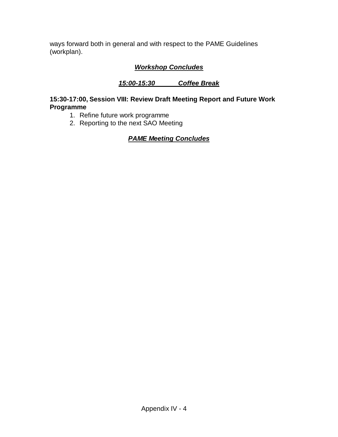ways forward both in general and with respect to the PAME Guidelines (workplan).

# **Workshop Concludes**

# **15:00-15:30 Coffee Break**

# **15:30-17:00, Session VIII: Review Draft Meeting Report and Future Work Programme**

- 1. Refine future work programme
- 2. Reporting to the next SAO Meeting

# **PAME Meeting Concludes**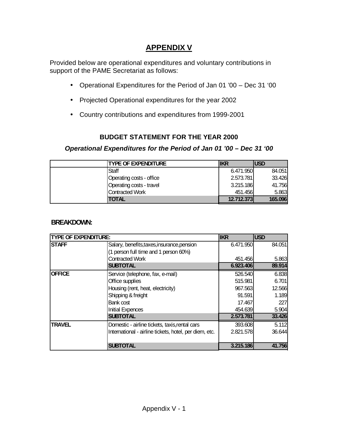# **APPENDIX V**

Provided below are operational expenditures and voluntary contributions in support of the PAME Secretariat as follows:

- Operational Expenditures for the Period of Jan 01 '00 Dec 31 '00
- Projected Operational expenditures for the year 2002
- Country contributions and expenditures from 1999-2001

# **BUDGET STATEMENT FOR THE YEAR 2000**

# **Operational Expenditures for the Period of Jan 01 '00 – Dec 31 '00**

|       | <b>TYPE OF EXPENDITURE</b> | <b>IIKR</b> | <b>USD</b> |
|-------|----------------------------|-------------|------------|
| Staff |                            | 6.471.950   | 84.051     |
|       | Operating costs - office   | 2.573.781   | 33.426     |
|       | Operating costs - travel   | 3.215.186   | 41.756     |
|       | <b>Contracted Work</b>     | 451.456     | 5.863      |
|       | <b>TOTAL</b>               | 12.712.373  | 165.096    |

## **BREAKDOWN:**

| <b>TYPE OF EXPENDITURE:</b> |                                                        | <b>IKR</b> | <b>USD</b> |
|-----------------------------|--------------------------------------------------------|------------|------------|
| <b>STAFF</b>                | Salary, benefits, taxes, insurance, pension            | 6.471.950  | 84.051     |
|                             | (1 person full time and 1 person 60%)                  |            |            |
|                             | <b>Contracted Work</b>                                 | 451.4561   | 5.863      |
|                             | <b>SUBTOTAL</b>                                        | 6.923.406  | 89.914     |
| <b>OFFICE</b>               | Service (telephone, fax, e-mail)                       | 526.540    | 6.838      |
|                             | Office supplies                                        | 515.981    | 6.701      |
|                             | Housing (rent, heat, electricity)                      | 967.563    | 12.566     |
|                             | Shipping & freight                                     | 91.591     | 1.189      |
|                             | Bank cost                                              | 17.467     | 227        |
|                             | <b>Initial Expences</b>                                | 454.639    | 5.904      |
|                             | <b>SUBTOTAL</b>                                        | 2.573.781  | 33.426     |
| <b>TRAVEL</b>               | Domestic - airline tickets, taxis, rental cars         | 393.608    | 5.112      |
|                             | International - airline tickets, hotel, per diem, etc. | 2.821.578  | 36.644     |
|                             |                                                        |            |            |
|                             | <b>SUBTOTAL</b>                                        | 3.215.186  | 41.756     |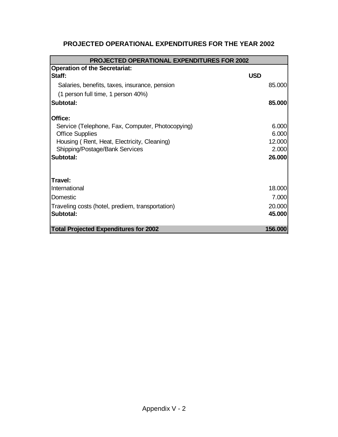| PROJECTED OPERATIONAL EXPENDITURES FOR THE YEAR 2002 |  |
|------------------------------------------------------|--|
|------------------------------------------------------|--|

| <b>PROJECTED OPERATIONAL EXPENDITURES FOR 2002</b> |            |         |
|----------------------------------------------------|------------|---------|
| <b>Operation of the Secretariat:</b>               |            |         |
| Staff:                                             | <b>USD</b> |         |
| Salaries, benefits, taxes, insurance, pension      |            | 85.000  |
| (1 person full time, 1 person 40%)                 |            |         |
| Subtotal:                                          |            | 85.000  |
| Office:                                            |            |         |
| Service (Telephone, Fax, Computer, Photocopying)   |            | 6.000   |
| <b>Office Supplies</b>                             |            | 6.000   |
| Housing (Rent, Heat, Electricity, Cleaning)        |            | 12.000  |
| Shipping/Postage/Bank Services                     |            | 2.000   |
| Subtotal:                                          |            | 26,000  |
| Travel:                                            |            |         |
| International                                      |            | 18.000  |
| Domestic                                           |            | 7.000   |
| Traveling costs (hotel, prediem, transportation)   |            | 20,000  |
| Subtotal:                                          |            | 45.000  |
| <b>Total Projected Expenditures for 2002</b>       |            | 156.000 |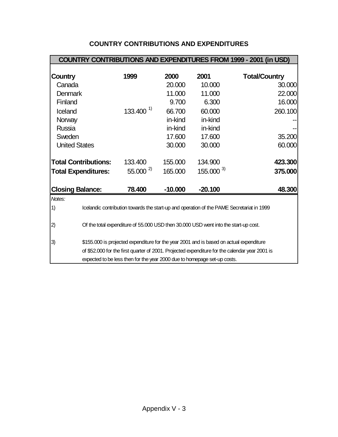| <b>COUNTRY CONTRIBUTIONS AND EXPENDITURES FROM 1999 - 2001 (in USD)</b>                         |                                                                                         |           |               |                      |
|-------------------------------------------------------------------------------------------------|-----------------------------------------------------------------------------------------|-----------|---------------|----------------------|
|                                                                                                 |                                                                                         |           |               |                      |
| Country                                                                                         | 1999                                                                                    | 2000      | 2001          | <b>Total/Country</b> |
| Canada                                                                                          |                                                                                         | 20.000    | 10.000        | 30.000               |
| Denmark                                                                                         |                                                                                         | 11.000    | 11.000        | 22.000               |
| Finland                                                                                         |                                                                                         | 9.700     | 6.300         | 16.000               |
| Iceland                                                                                         | $133.400^{1}$                                                                           | 66.700    | 60.000        | 260.100              |
| Norway                                                                                          |                                                                                         | in-kind   | in-kind       |                      |
| <b>Russia</b>                                                                                   |                                                                                         | in-kind   | in-kind       |                      |
| Sweden                                                                                          |                                                                                         | 17.600    | 17.600        | 35.200               |
| <b>United States</b>                                                                            |                                                                                         | 30.000    | 30,000        | 60.000               |
| <b>Total Contributions:</b>                                                                     | 133,400                                                                                 | 155.000   | 134.900       | 423.300              |
| <b>Total Expenditures:</b>                                                                      | $55.000^{2}$                                                                            | 165.000   | $155.000^{3}$ | 375.000              |
| <b>Closing Balance:</b>                                                                         | 78.400                                                                                  | $-10.000$ | $-20.100$     | 48.300               |
| Notes:                                                                                          |                                                                                         |           |               |                      |
| Icelandic contribution towards the start-up and operation of the PAME Secretariat in 1999<br>1) |                                                                                         |           |               |                      |
| 2)                                                                                              | Of the total expenditure of 55.000 USD then 30.000 USD went into the start-up cost.     |           |               |                      |
| 3)                                                                                              | \$155.000 is projected expenditure for the year 2001 and is based on actual expenditure |           |               |                      |
| of \$52.000 for the first quarter of 2001. Projected expenditure for the calendar year 2001 is  |                                                                                         |           |               |                      |
| expected to be less then for the year 2000 due to homepage set-up costs.                        |                                                                                         |           |               |                      |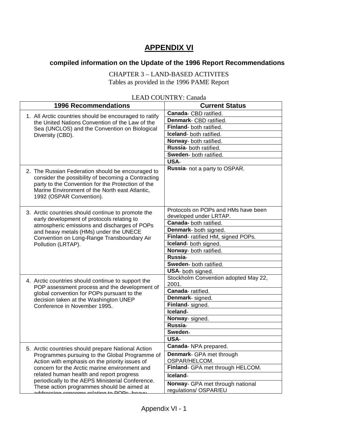# **APPENDIX VI**

# **compiled information on the Update of the 1996 Report Recommendations**

CHAPTER 3 – LAND-BASED ACTIVITES Tables as provided in the 1996 PAME Report

| <b>1996 Recommendations</b>                                                                         | LLAD COUNTRI . Canada<br><b>Current Status</b> |
|-----------------------------------------------------------------------------------------------------|------------------------------------------------|
|                                                                                                     | Canada- CBD ratified.                          |
| 1. All Arctic countries should be encouraged to ratify                                              | Denmark- CBD ratified.                         |
| the United Nations Convention of the Law of the                                                     | Finland- both ratified.                        |
| Sea (UNCLOS) and the Convention on Biological<br>Diversity (CBD).                                   | Iceland- both ratified.                        |
|                                                                                                     | Norway- both ratified.                         |
|                                                                                                     | Russia- both ratified.                         |
|                                                                                                     | Sweden- both ratified.                         |
|                                                                                                     | <b>USA-</b>                                    |
|                                                                                                     | Russia- not a party to OSPAR.                  |
| 2. The Russian Federation should be encouraged to                                                   |                                                |
| consider the possibility of becoming a Contracting                                                  |                                                |
| party to the Convention for the Protection of the<br>Marine Environment of the North east Atlantic, |                                                |
| 1992 (OSPAR Convention).                                                                            |                                                |
|                                                                                                     |                                                |
|                                                                                                     | Protocols on POPs and HMs have been            |
| 3. Arctic countries should continue to promote the                                                  | developed under LRTAP.                         |
| early development of protocols relating to<br>atmospheric emissions and discharges of POPs          | Canada-both ratified.                          |
| and heavy metals (HMs) under the UNECE                                                              | Denmark- both signed.                          |
| Convention on Long-Range Transboundary Air                                                          | Finland- ratified HM, signed POPs.             |
| Pollution (LRTAP).                                                                                  | Iceland- both signed.                          |
|                                                                                                     | Norway- both ratified.                         |
|                                                                                                     | Russia-                                        |
|                                                                                                     | Sweden- both ratified.                         |
|                                                                                                     | USA- both signed.                              |
| 4. Arctic countries should continue to support the                                                  | Stockholm Convention adopted May 22,           |
| POP assessment process and the development of                                                       | 2001.                                          |
| global convention for POPs pursuant to the                                                          | Canada-ratified.                               |
| decision taken at the Washington UNEP                                                               | Denmark- signed.                               |
| Conference in November 1995.                                                                        | Finland-signed.                                |
|                                                                                                     | Iceland-                                       |
|                                                                                                     | Norway- signed.                                |
|                                                                                                     | Russia-                                        |
|                                                                                                     | Sweden-<br>USA-                                |
|                                                                                                     |                                                |
| 5. Arctic countries should prepare National Action                                                  | Canada- NPA prepared.                          |
| Programmes pursuing to the Global Programme of<br>Action with emphasis on the priority issues of    | <b>Denmark-</b> GPA met through                |
|                                                                                                     | OSPAR/HELCOM.                                  |
| concern for the Arctic marine environment and                                                       | Finland- GPA met through HELCOM.               |
| related human health and report progress<br>periodically to the AEPS Ministerial Conference.        | Iceland-                                       |
| These action programmes should be aimed at                                                          | Norway- GPA met through national               |
| addressing concerns relating to DODs, hospy                                                         | regulations/ OSPAR/EU                          |

#### LEAD COUNTRY: Canada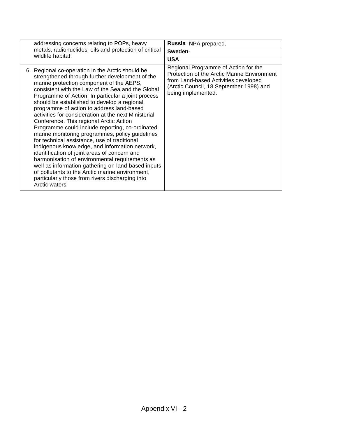| addressing concerns relating to POPs, heavy                                                                                                                                                                                                                                                                                                                                                              |                                                                                                                                                                                                                                                                                                                                                                                                                                                                                                                                       | Russia- NPA prepared.                                                                                                                                                                        |  |
|----------------------------------------------------------------------------------------------------------------------------------------------------------------------------------------------------------------------------------------------------------------------------------------------------------------------------------------------------------------------------------------------------------|---------------------------------------------------------------------------------------------------------------------------------------------------------------------------------------------------------------------------------------------------------------------------------------------------------------------------------------------------------------------------------------------------------------------------------------------------------------------------------------------------------------------------------------|----------------------------------------------------------------------------------------------------------------------------------------------------------------------------------------------|--|
| metals, radionuclides, oils and protection of critical<br>wildlife habitat.                                                                                                                                                                                                                                                                                                                              | Sweden-                                                                                                                                                                                                                                                                                                                                                                                                                                                                                                                               |                                                                                                                                                                                              |  |
|                                                                                                                                                                                                                                                                                                                                                                                                          |                                                                                                                                                                                                                                                                                                                                                                                                                                                                                                                                       | USA-                                                                                                                                                                                         |  |
| 6. Regional co-operation in the Arctic should be<br>marine protection component of the AEPS,<br>should be established to develop a regional<br>programme of action to address land-based<br>Conference. This regional Arctic Action<br>for technical assistance, use of traditional<br>identification of joint areas of concern and<br>particularly those from rivers discharging into<br>Arctic waters. | strengthened through further development of the<br>consistent with the Law of the Sea and the Global<br>Programme of Action. In particular a joint process<br>activities for consideration at the next Ministerial<br>Programme could include reporting, co-ordinated<br>marine monitoring programmes, policy guidelines<br>indigenous knowledge, and information network,<br>harmonisation of environmental requirements as<br>well as information gathering on land-based inputs<br>of pollutants to the Arctic marine environment, | Regional Programme of Action for the<br>Protection of the Arctic Marine Environment<br>from Land-based Activities developed<br>(Arctic Council, 18 September 1998) and<br>being implemented. |  |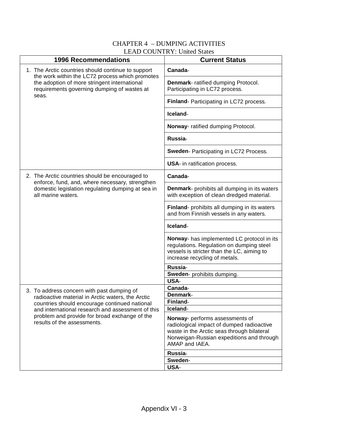# CHAPTER 4 – DUMPING ACTIVITIES LEAD COUNTRY: United States

| <b>1996 Recommendations</b>                                                                                                                             | <b>Current Status</b>                                                                                                                                                 |
|---------------------------------------------------------------------------------------------------------------------------------------------------------|-----------------------------------------------------------------------------------------------------------------------------------------------------------------------|
| 1. The Arctic countries should continue to support                                                                                                      | Canada-                                                                                                                                                               |
| the work within the LC72 process which promotes<br>the adoption of more stringent international<br>requirements governing dumping of wastes at<br>seas. | Denmark- ratified dumping Protocol.<br>Participating in LC72 process.                                                                                                 |
|                                                                                                                                                         | Finland- Participating in LC72 process.                                                                                                                               |
|                                                                                                                                                         | Iceland-                                                                                                                                                              |
|                                                                                                                                                         | Norway- ratified dumping Protocol.                                                                                                                                    |
|                                                                                                                                                         | Russia-                                                                                                                                                               |
|                                                                                                                                                         | Sweden- Participating in LC72 Process.                                                                                                                                |
|                                                                                                                                                         | <b>USA-</b> in ratification process.                                                                                                                                  |
| 2. The Arctic countries should be encouraged to                                                                                                         | Canada-                                                                                                                                                               |
| enforce, fund, and, where necessary, strengthen<br>domestic legislation regulating dumping at sea in<br>all marine waters.                              | <b>Denmark-</b> prohibits all dumping in its waters<br>with exception of clean dredged material.                                                                      |
|                                                                                                                                                         | Finland- prohibits all dumping in its waters<br>and from Finnish vessels in any waters.                                                                               |
|                                                                                                                                                         | Iceland-                                                                                                                                                              |
|                                                                                                                                                         | Norway- has implemented LC protocol in its<br>regulations. Regulation on dumping steel<br>vessels is stricter than the LC, aiming to<br>increase recycling of metals. |
|                                                                                                                                                         | Russia-                                                                                                                                                               |
|                                                                                                                                                         | Sweden- prohibits dumping.<br>USA-                                                                                                                                    |
| 3. To address concern with past dumping of                                                                                                              | Canada-                                                                                                                                                               |
| radioactive material in Arctic waters, the Arctic                                                                                                       | Denmark-                                                                                                                                                              |
| countries should encourage continued national                                                                                                           | Finland-                                                                                                                                                              |
| and international research and assessment of this<br>problem and provide for broad exchange of the                                                      | Iceland-                                                                                                                                                              |
| results of the assessments.                                                                                                                             | Norway- performs assessments of<br>radiological impact of dumped radioactive                                                                                          |
|                                                                                                                                                         | waste in the Arctic seas through bilateral                                                                                                                            |
|                                                                                                                                                         | Norweigan-Russian expeditions and through<br>AMAP and IAEA.                                                                                                           |
|                                                                                                                                                         | Russia-                                                                                                                                                               |
|                                                                                                                                                         | Sweden-<br>USA-                                                                                                                                                       |
|                                                                                                                                                         |                                                                                                                                                                       |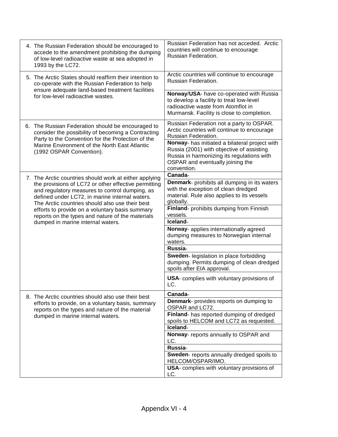| 4. The Russian Federation should be encouraged to<br>accede to the amendment prohibiting the dumping<br>of low-level radioactive waste at sea adopted in<br>1993 by the LC72.                               | Russian Federation has not acceded. Arctic<br>countries will continue to encourage<br>Russian Federation.                                                                                    |
|-------------------------------------------------------------------------------------------------------------------------------------------------------------------------------------------------------------|----------------------------------------------------------------------------------------------------------------------------------------------------------------------------------------------|
| 5. The Arctic States should reaffirm their intention to<br>co-operate with the Russian Federation to help                                                                                                   | Arctic countries will continue to encourage<br>Russian Federation.                                                                                                                           |
| ensure adequate land-based treatment facilities<br>for low-level radioactive wastes.                                                                                                                        | Norway/USA- have co-operated with Russia<br>to develop a facility to treat low-level<br>radioactive waste from Atomflot in<br>Murmansk. Facility is close to completion.                     |
| 6. The Russian Federation should be encouraged to<br>consider the possibility of becoming a Contracting<br>Party to the Convention for the Protection of the                                                | Russian Federation not a party to OSPAR.<br>Arctic countries will continue to encourage<br>Russian Federation.                                                                               |
| Marine Environment of the North East Atlantic<br>(1992 OSPAR Convention).                                                                                                                                   | Norway- has initiated a bilateral project with<br>Russia (2001) with objective of assisting<br>Russia in harmonizing its regulations with<br>OSPAR and eventually joining the<br>convention. |
| 7. The Arctic countries should work at either applying                                                                                                                                                      | Canada-                                                                                                                                                                                      |
| the provisions of LC72 or other effective permitting<br>and regulatory measures to control dumping, as<br>defined under LC72, in marine internal waters.<br>The Arctic countries should also use their best | Denmark- prohibits all dumping in its waters<br>with the exception of clean dredged<br>material. Rule also applies to its vessels<br>globally.                                               |
| efforts to provide on a voluntary basis summary<br>reports on the types and nature of the materials                                                                                                         | Finland- prohibits dumping from Finnish<br>vessels.                                                                                                                                          |
| dumped in marine internal waters.                                                                                                                                                                           | Iceland-                                                                                                                                                                                     |
|                                                                                                                                                                                                             | Norway- applies internationally agreed<br>dumping measures to Norwegian internal<br>waters.                                                                                                  |
|                                                                                                                                                                                                             | Russia-                                                                                                                                                                                      |
|                                                                                                                                                                                                             | Sweden- legislation in place forbidding<br>dumping. Permits dumping of clean dredged<br>spoils after EIA approval.                                                                           |
|                                                                                                                                                                                                             | USA- complies with voluntary provisions of<br>LC.                                                                                                                                            |
| 8. The Arctic countries should also use their best                                                                                                                                                          | Canada-                                                                                                                                                                                      |
| efforts to provide, on a voluntary basis, summary<br>reports on the types and nature of the material                                                                                                        | Denmark- provides reports on dumping to<br>OSPAR and LC72.                                                                                                                                   |
| dumped in marine internal waters.                                                                                                                                                                           | Finland- has reported dumping of dredged<br>spoils to HELCOM and LC72 as requested.                                                                                                          |
|                                                                                                                                                                                                             | Iceland-                                                                                                                                                                                     |
|                                                                                                                                                                                                             | Norway- reports annually to OSPAR and<br>LC.                                                                                                                                                 |
|                                                                                                                                                                                                             | Russia-                                                                                                                                                                                      |
|                                                                                                                                                                                                             | Sweden- reports annually dredged spoils to<br>HELCOM/OSPAR/IMO.                                                                                                                              |
|                                                                                                                                                                                                             | USA- complies with voluntary provisions of<br>LC.                                                                                                                                            |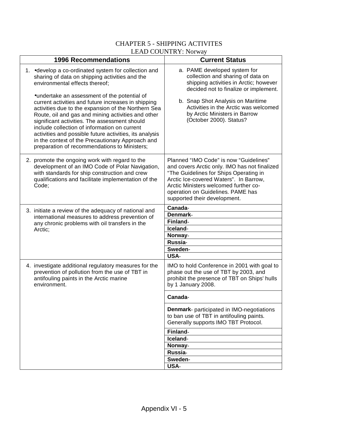# CHAPTER 5 - SHIPPING ACTIVITES LEAD COUNTRY: Norway

| <b>1996 Recommendations</b>                                                                                                                                                                                                                                                                                                                                                                                                                                                      | <b>Current Status</b>                                                                                                                                                                                                                                                                     |
|----------------------------------------------------------------------------------------------------------------------------------------------------------------------------------------------------------------------------------------------------------------------------------------------------------------------------------------------------------------------------------------------------------------------------------------------------------------------------------|-------------------------------------------------------------------------------------------------------------------------------------------------------------------------------------------------------------------------------------------------------------------------------------------|
| 1. • develop a co-ordinated system for collection and<br>sharing of data on shipping activities and the<br>environmental effects thereof;                                                                                                                                                                                                                                                                                                                                        | a. PAME developed system for<br>collection and sharing of data on<br>shipping activities in Arctic; however<br>decided not to finalize or implement.                                                                                                                                      |
| •undertake an assessment of the potential of<br>current activities and future increases in shipping<br>activities due to the expansion of the Northern Sea<br>Route, oil and gas and mining activities and other<br>significant activities. The assessment should<br>include collection of information on current<br>activities and possible future activities, its analysis<br>in the context of the Precautionary Approach and<br>preparation of recommendations to Ministers; | b. Snap Shot Analysis on Maritime<br>Activities in the Arctic was welcomed<br>by Arctic Ministers in Barrow<br>(October 2000). Status?                                                                                                                                                    |
| 2. promote the ongoing work with regard to the<br>development of an IMO Code of Polar Navigation,<br>with standards for ship construction and crew<br>qualifications and facilitate implementation of the<br>Code:                                                                                                                                                                                                                                                               | Planned "IMO Code" is now "Guidelines"<br>and covers Arctic only. IMO has not finalized<br>"The Guidelines for Ships Operating in<br>Arctic Ice-covered Waters". In Barrow,<br>Arctic Ministers welcomed further co-<br>operation on Guidelines. PAME has<br>supported their development. |
| 3. initiate a review of the adequacy of national and                                                                                                                                                                                                                                                                                                                                                                                                                             | Canada-                                                                                                                                                                                                                                                                                   |
| international measures to address prevention of                                                                                                                                                                                                                                                                                                                                                                                                                                  | Denmark-<br>Finland-                                                                                                                                                                                                                                                                      |
| any chronic problems with oil transfers in the<br>Arctic;                                                                                                                                                                                                                                                                                                                                                                                                                        | Iceland-                                                                                                                                                                                                                                                                                  |
|                                                                                                                                                                                                                                                                                                                                                                                                                                                                                  | Norway-                                                                                                                                                                                                                                                                                   |
|                                                                                                                                                                                                                                                                                                                                                                                                                                                                                  | Russia-                                                                                                                                                                                                                                                                                   |
|                                                                                                                                                                                                                                                                                                                                                                                                                                                                                  | Sweden-                                                                                                                                                                                                                                                                                   |
| 4. investigate additional regulatory measures for the<br>prevention of pollution from the use of TBT in<br>antifouling paints in the Arctic marine<br>environment.                                                                                                                                                                                                                                                                                                               | <b>USA-</b><br>IMO to hold Conference in 2001 with goal to<br>phase out the use of TBT by 2003, and<br>prohibit the presence of TBT on Ships' hulls<br>by 1 January 2008.                                                                                                                 |
|                                                                                                                                                                                                                                                                                                                                                                                                                                                                                  | Canada-                                                                                                                                                                                                                                                                                   |
|                                                                                                                                                                                                                                                                                                                                                                                                                                                                                  | <b>Denmark-</b> participated in IMO-negotiations<br>to ban use of TBT in antifouling paints.<br>Generally supports IMO TBT Protocol.                                                                                                                                                      |
|                                                                                                                                                                                                                                                                                                                                                                                                                                                                                  | Finland-                                                                                                                                                                                                                                                                                  |
|                                                                                                                                                                                                                                                                                                                                                                                                                                                                                  | Iceland-                                                                                                                                                                                                                                                                                  |
|                                                                                                                                                                                                                                                                                                                                                                                                                                                                                  | Norway-                                                                                                                                                                                                                                                                                   |
|                                                                                                                                                                                                                                                                                                                                                                                                                                                                                  | Russia-<br>Sweden-                                                                                                                                                                                                                                                                        |
|                                                                                                                                                                                                                                                                                                                                                                                                                                                                                  | USA-                                                                                                                                                                                                                                                                                      |
|                                                                                                                                                                                                                                                                                                                                                                                                                                                                                  |                                                                                                                                                                                                                                                                                           |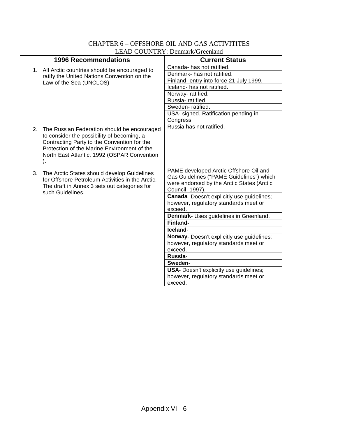|                             | LL ID COUNTRI DUIMAIN OICCINN                                                                                                                                                                                                                |                                                                                                                                                                                                                                                                                                 |  |  |  |
|-----------------------------|----------------------------------------------------------------------------------------------------------------------------------------------------------------------------------------------------------------------------------------------|-------------------------------------------------------------------------------------------------------------------------------------------------------------------------------------------------------------------------------------------------------------------------------------------------|--|--|--|
| <b>1996 Recommendations</b> |                                                                                                                                                                                                                                              | <b>Current Status</b>                                                                                                                                                                                                                                                                           |  |  |  |
| 1.                          | All Arctic countries should be encouraged to<br>ratify the United Nations Convention on the<br>Law of the Sea (UNCLOS)                                                                                                                       | Canada-has not ratified.<br>Denmark- has not ratified.<br>Finland- entry into force 21 July 1999.<br>Iceland- has not ratified.<br>Norway-ratified.<br>Russia-ratified.<br>Sweden-ratified.<br>USA- signed. Ratification pending in<br>Congress.                                                |  |  |  |
| 2.                          | The Russian Federation should be encouraged<br>to consider the possibility of becoming, a<br>Contracting Party to the Convention for the<br>Protection of the Marine Environment of the<br>North East Atlantic, 1992 (OSPAR Convention<br>). | Russia has not ratified.                                                                                                                                                                                                                                                                        |  |  |  |
| 3.                          | The Arctic States should develop Guidelines<br>for Offshore Petroleum Activities in the Arctic.<br>The draft in Annex 3 sets out categories for<br>such Guidelines.                                                                          | PAME developed Arctic Offshore Oil and<br>Gas Guidelines ("PAME Guidelines") which<br>were endorsed by the Arctic States (Arctic<br>Council, 1997).<br>Canada- Doesn't explicitly use guidelines;<br>however, regulatory standards meet or<br>exceed.<br>Denmark- Uses guidelines in Greenland. |  |  |  |
|                             |                                                                                                                                                                                                                                              | Finland-                                                                                                                                                                                                                                                                                        |  |  |  |
|                             |                                                                                                                                                                                                                                              | Iceland-                                                                                                                                                                                                                                                                                        |  |  |  |
|                             |                                                                                                                                                                                                                                              | Norway- Doesn't explicitly use guidelines;<br>however, regulatory standards meet or<br>exceed.                                                                                                                                                                                                  |  |  |  |
|                             |                                                                                                                                                                                                                                              | Russia-                                                                                                                                                                                                                                                                                         |  |  |  |
|                             |                                                                                                                                                                                                                                              | Sweden-                                                                                                                                                                                                                                                                                         |  |  |  |
|                             |                                                                                                                                                                                                                                              | USA- Doesn't explicitly use guidelines;<br>however, regulatory standards meet or<br>exceed.                                                                                                                                                                                                     |  |  |  |
|                             |                                                                                                                                                                                                                                              |                                                                                                                                                                                                                                                                                                 |  |  |  |

# CHAPTER 6 – OFFSHORE OIL AND GAS ACTIVITITES LEAD COUNTRY: Denmark/Greenland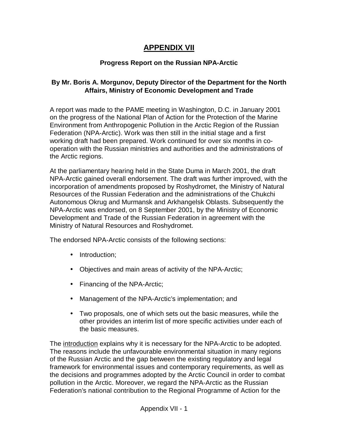# **APPENDIX VII**

# **Progress Report on the Russian NPA-Arctic**

# **By Mr. Boris A. Morgunov, Deputy Director of the Department for the North Affairs, Ministry of Economic Development and Trade**

A report was made to the PAME meeting in Washington, D.C. in January 2001 on the progress of the National Plan of Action for the Protection of the Marine Environment from Anthropogenic Pollution in the Arctic Region of the Russian Federation (NPA-Arctic). Work was then still in the initial stage and a first working draft had been prepared. Work continued for over six months in cooperation with the Russian ministries and authorities and the administrations of the Arctic regions.

At the parliamentary hearing held in the State Duma in March 2001, the draft NPA-Arctic gained overall endorsement. The draft was further improved, with the incorporation of amendments proposed by Roshydromet, the Ministry of Natural Resources of the Russian Federation and the administrations of the Chukchi Autonomous Okrug and Murmansk and Arkhangelsk Oblasts. Subsequently the NPA-Arctic was endorsed, on 8 September 2001, by the Ministry of Economic Development and Trade of the Russian Federation in agreement with the Ministry of Natural Resources and Roshydromet.

The endorsed NPA-Arctic consists of the following sections:

- Introduction;
- Objectives and main areas of activity of the NPA-Arctic;
- Financing of the NPA-Arctic;
- Management of the NPA-Arctic's implementation; and
- Two proposals, one of which sets out the basic measures, while the other provides an interim list of more specific activities under each of the basic measures.

The introduction explains why it is necessary for the NPA-Arctic to be adopted. The reasons include the unfavourable environmental situation in many regions of the Russian Arctic and the gap between the existing regulatory and legal framework for environmental issues and contemporary requirements, as well as the decisions and programmes adopted by the Arctic Council in order to combat pollution in the Arctic. Moreover, we regard the NPA-Arctic as the Russian Federation's national contribution to the Regional Programme of Action for the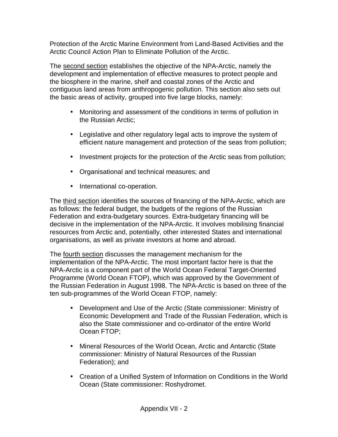Protection of the Arctic Marine Environment from Land-Based Activities and the Arctic Council Action Plan to Eliminate Pollution of the Arctic.

The second section establishes the objective of the NPA-Arctic, namely the development and implementation of effective measures to protect people and the biosphere in the marine, shelf and coastal zones of the Arctic and contiguous land areas from anthropogenic pollution. This section also sets out the basic areas of activity, grouped into five large blocks, namely:

- Monitoring and assessment of the conditions in terms of pollution in the Russian Arctic;
- Legislative and other regulatory legal acts to improve the system of efficient nature management and protection of the seas from pollution;
- Investment projects for the protection of the Arctic seas from pollution;
- Organisational and technical measures; and
- International co-operation.

The third section identifies the sources of financing of the NPA-Arctic, which are as follows: the federal budget, the budgets of the regions of the Russian Federation and extra-budgetary sources. Extra-budgetary financing will be decisive in the implementation of the NPA-Arctic. It involves mobilising financial resources from Arctic and, potentially, other interested States and international organisations, as well as private investors at home and abroad.

The fourth section discusses the management mechanism for the implementation of the NPA-Arctic. The most important factor here is that the NPA-Arctic is a component part of the World Ocean Federal Target-Oriented Programme (World Ocean FTOP), which was approved by the Government of the Russian Federation in August 1998. The NPA-Arctic is based on three of the ten sub-programmes of the World Ocean FTOP, namely:

- Development and Use of the Arctic (State commissioner: Ministry of Economic Development and Trade of the Russian Federation, which is also the State commissioner and co-ordinator of the entire World Ocean FTOP;
- Mineral Resources of the World Ocean, Arctic and Antarctic (State commissioner: Ministry of Natural Resources of the Russian Federation); and
- Creation of a Unified System of Information on Conditions in the World Ocean (State commissioner: Roshydromet.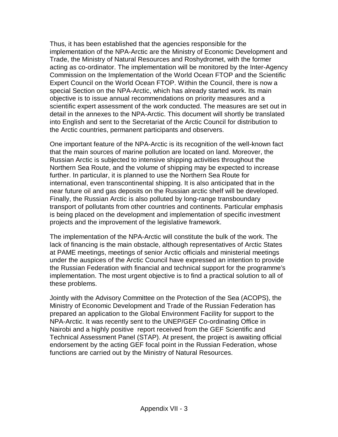Thus, it has been established that the agencies responsible for the implementation of the NPA-Arctic are the Ministry of Economic Development and Trade, the Ministry of Natural Resources and Roshydromet, with the former acting as co-ordinator. The implementation will be monitored by the Inter-Agency Commission on the Implementation of the World Ocean FTOP and the Scientific Expert Council on the World Ocean FTOP. Within the Council, there is now a special Section on the NPA-Arctic, which has already started work. Its main objective is to issue annual recommendations on priority measures and a scientific expert assessment of the work conducted. The measures are set out in detail in the annexes to the NPA-Arctic. This document will shortly be translated into English and sent to the Secretariat of the Arctic Council for distribution to the Arctic countries, permanent participants and observers.

One important feature of the NPA-Arctic is its recognition of the well-known fact that the main sources of marine pollution are located on land. Moreover, the Russian Arctic is subjected to intensive shipping activities throughout the Northern Sea Route, and the volume of shipping may be expected to increase further. In particular, it is planned to use the Northern Sea Route for international, even transcontinental shipping. It is also anticipated that in the near future oil and gas deposits on the Russian arctic shelf will be developed. Finally, the Russian Arctic is also polluted by long-range transboundary transport of pollutants from other countries and continents. Particular emphasis is being placed on the development and implementation of specific investment projects and the improvement of the legislative framework.

The implementation of the NPA-Arctic will constitute the bulk of the work. The lack of financing is the main obstacle, although representatives of Arctic States at PAME meetings, meetings of senior Arctic officials and ministerial meetings under the auspices of the Arctic Council have expressed an intention to provide the Russian Federation with financial and technical support for the programme's implementation. The most urgent objective is to find a practical solution to all of these problems.

Jointly with the Advisory Committee on the Protection of the Sea (ACOPS), the Ministry of Economic Development and Trade of the Russian Federation has prepared an application to the Global Environment Facility for support to the NPA-Arctic. It was recently sent to the UNEP/GEF Co-ordinating Office in Nairobi and a highly positive report received from the GEF Scientific and Technical Assessment Panel (STAP). At present, the project is awaiting official endorsement by the acting GEF focal point in the Russian Federation, whose functions are carried out by the Ministry of Natural Resources.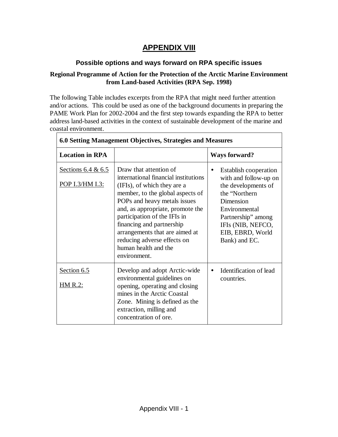# **APPENDIX VIII**

# **Possible options and ways forward on RPA specific issues**

## **Regional Programme of Action for the Protection of the Arctic Marine Environment from Land-based Activities (RPA Sep. 1998)**

The following Table includes excerpts from the RPA that might need further attention and/or actions. This could be used as one of the background documents in preparing the PAME Work Plan for 2002-2004 and the first step towards expanding the RPA to better address land-based activities in the context of sustainable development of the marine and coastal environment.

| 6.0 Setting Management Objectives, Strategies and Measures |                                                                                                                                                                                                                                                                                                                                                                             |                                                                                                                                                                                                                          |  |
|------------------------------------------------------------|-----------------------------------------------------------------------------------------------------------------------------------------------------------------------------------------------------------------------------------------------------------------------------------------------------------------------------------------------------------------------------|--------------------------------------------------------------------------------------------------------------------------------------------------------------------------------------------------------------------------|--|
| <b>Location in RPA</b>                                     |                                                                                                                                                                                                                                                                                                                                                                             | <b>Ways forward?</b>                                                                                                                                                                                                     |  |
| Sections $6.4 & 6.5$<br>POP I.3/HM I.3:                    | Draw that attention of<br>international financial institutions<br>(IFIs), of which they are a<br>member, to the global aspects of<br>POPs and heavy metals issues<br>and, as appropriate, promote the<br>participation of the IFIs in<br>financing and partnership<br>arrangements that are aimed at<br>reducing adverse effects on<br>human health and the<br>environment. | <b>Establish cooperation</b><br>$\bullet$<br>with and follow-up on<br>the developments of<br>the "Northern<br>Dimension<br>Environmental<br>Partnership" among<br>IFIs (NIB, NEFCO,<br>EIB, EBRD, World<br>Bank) and EC. |  |
| Section 6.5<br><u>HM R.2:</u>                              | Develop and adopt Arctic-wide<br>environmental guidelines on<br>opening, operating and closing<br>mines in the Arctic Coastal<br>Zone. Mining is defined as the<br>extraction, milling and<br>concentration of ore.                                                                                                                                                         | Identification of lead<br>$\bullet$<br>countries.                                                                                                                                                                        |  |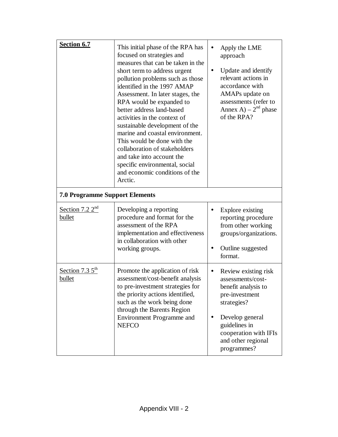| Section 6.7                           | This initial phase of the RPA has<br>focused on strategies and<br>measures that can be taken in the<br>short term to address urgent<br>pollution problems such as those<br>identified in the 1997 AMAP<br>Assessment. In later stages, the<br>RPA would be expanded to<br>better address land-based<br>activities in the context of<br>sustainable development of the<br>marine and coastal environment.<br>This would be done with the<br>collaboration of stakeholders<br>and take into account the<br>specific environmental, social<br>and economic conditions of the<br>Arctic. | Apply the LME<br>$\bullet$<br>approach<br>Update and identify<br>$\bullet$<br>relevant actions in<br>accordance with<br>AMAPs update on<br>assessments (refer to<br>Annex A) – $2^{nd}$ phase<br>of the RPA? |  |
|---------------------------------------|--------------------------------------------------------------------------------------------------------------------------------------------------------------------------------------------------------------------------------------------------------------------------------------------------------------------------------------------------------------------------------------------------------------------------------------------------------------------------------------------------------------------------------------------------------------------------------------|--------------------------------------------------------------------------------------------------------------------------------------------------------------------------------------------------------------|--|
| <b>7.0 Programme Support Elements</b> |                                                                                                                                                                                                                                                                                                                                                                                                                                                                                                                                                                                      |                                                                                                                                                                                                              |  |
| Section 7.2 $2nd$<br>bullet           | Developing a reporting<br>procedure and format for the<br>assessment of the RPA<br>implementation and effectiveness<br>in collaboration with other<br>working groups.                                                                                                                                                                                                                                                                                                                                                                                                                | Explore existing<br>$\bullet$<br>reporting procedure<br>from other working<br>groups/organizations.<br>Outline suggested<br>$\bullet$<br>format.                                                             |  |
| Section 7.3 $5^{\text{th}}$<br>bullet | Promote the application of risk<br>assessment/cost-benefit analysis<br>to pre-investment strategies for<br>the priority actions identified,<br>such as the work being done<br>through the Barents Region<br>Environment Programme and<br><b>NEFCO</b>                                                                                                                                                                                                                                                                                                                                | Review existing risk<br>assessments/cost-<br>benefit analysis to<br>pre-investment<br>strategies?<br>Develop general<br>guidelines in<br>cooperation with IFIs<br>and other regional<br>programmes?          |  |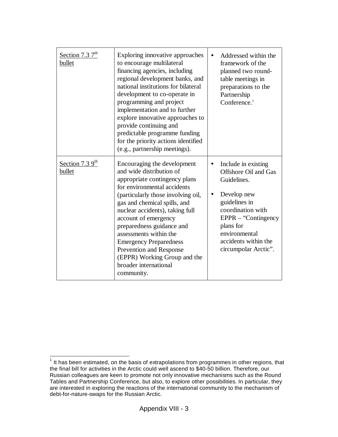| Section 7.3 $7^{\text{th}}$<br>bullet | Exploring innovative approaches<br>to encourage multilateral<br>financing agencies, including<br>regional development banks, and<br>national institutions for bilateral<br>development to co-operate in<br>programming and project<br>implementation and to further<br>explore innovative approaches to<br>provide continuing and<br>predictable programme funding<br>for the priority actions identified<br>(e.g., partnership meetings).         | Addressed within the<br>framework of the<br>planned two round-<br>table meetings in<br>preparations to the<br>Partnership<br>Conference. $1$                                                                                                     |
|---------------------------------------|----------------------------------------------------------------------------------------------------------------------------------------------------------------------------------------------------------------------------------------------------------------------------------------------------------------------------------------------------------------------------------------------------------------------------------------------------|--------------------------------------------------------------------------------------------------------------------------------------------------------------------------------------------------------------------------------------------------|
| Section 7.3 $9th$<br>bullet           | Encouraging the development<br>and wide distribution of<br>appropriate contingency plans<br>for environmental accidents<br>(particularly those involving oil,<br>gas and chemical spills, and<br>nuclear accidents), taking full<br>account of emergency<br>preparedness guidance and<br>assessments within the<br><b>Emergency Preparedness</b><br>Prevention and Response<br>(EPPR) Working Group and the<br>broader international<br>community. | Include in existing<br>$\bullet$<br>Offshore Oil and Gas<br>Guidelines.<br>Develop new<br>$\bullet$<br>guidelines in<br>coordination with<br>$EPPR - "Contingency$<br>plans for<br>environmental<br>accidents within the<br>circumpolar Arctic". |

<sup>————————————————————&</sup>lt;br><sup>1</sup> It has been estimated, on the basis of extrapolations from programmes in other regions, that the final bill for activities in the Arctic could well ascend to \$40-50 billion. Therefore, our Russian colleagues are keen to promote not only innovative mechanisms such as the Round Tables and Partnership Conference, but also, to explore other possibilities. In particular, they are interested in exploring the reactions of the international community to the mechanism of debt-for-nature-swaps for the Russian Arctic.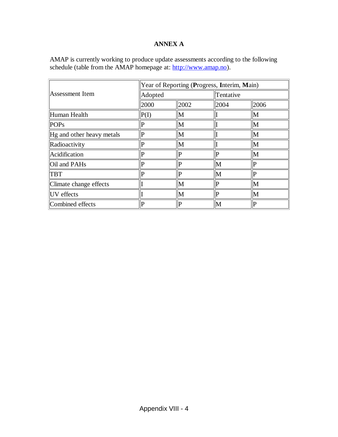# **ANNEX A**

AMAP is currently working to produce update assessments according to the following schedule (table from the AMAP homepage at: http://www.amap.no).

|                           | Year of Reporting (Progress, Interim, Main) |             |             |                |
|---------------------------|---------------------------------------------|-------------|-------------|----------------|
| Assessment Item           | Adopted                                     |             | Tentative   |                |
|                           | 2000                                        | 2002        | 2004        | 2006           |
| Human Health              | P(I)                                        | M           |             | M              |
| <b>POPs</b>               | P                                           | M           |             | M              |
| Hg and other heavy metals | P                                           | M           |             | M              |
| Radioactivity             | р                                           | M           |             | M              |
| Acidification             | D                                           | D           | P           | M              |
| Oil and PAHs              | P                                           | Þ           | M           | P              |
| <b>TBT</b>                | $\mathbf{P}$                                | $\mathbf P$ | M           | $\overline{P}$ |
| Climate change effects    |                                             | M           | $\mathbf P$ | M              |
| UV effects                |                                             | M           | P           | M              |
| Combined effects          | $\mathbf P$                                 | P           | M           | $\mathbf{P}$   |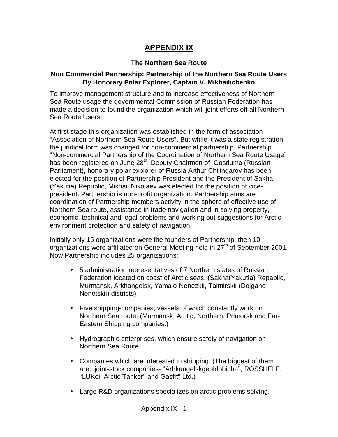# **APPENDIX IX**

# **The Northern Sea Route**

## **Non Commercial Partnership: Partnership of the Northern Sea Route Users By Honorary Polar Explorer, Captain V. Mikhailichenko**

To improve management structure and to increase effectiveness of Northern Sea Route usage the governmental Commission of Russian Federation has made a decision to found the organization which will joint efforts off all Northern Sea Route Users.

At first stage this organization was established in the form of association "Association of Northern Sea Route Users". But while it was a state registration the juridical form was changed for non-commercial partnership. Partnership "Non-commercial Partnership of the Coordination of Northern Sea Route Usage" has been registered on June 28<sup>th</sup>. Deputy Chairmen of Gosduma (Russian Parliament), honorary polar explorer of Russia Arthur Chilingarov has been elected for the position of Partnership President and the President of Sakha (Yakutia) Republic, Mikhail Nikolaev was elected for the position of vicepresident. Partnership is non-profit organization. Partnership aims are coordination of Partnership members activity in the sphere of effective use of Northern Sea route, assistance in trade navigation and in solving property, economic, technical and legal problems and working out suggestions for Arctic environment protection and safety of navigation.

Initially only 15 organizations were the founders of Partnership, then 10 organizations were affiliated on General Meeting held in  $27<sup>th</sup>$  of September 2001. Now Partnership includes 25 organizations:

- 5 administration representatives of 7 Northern states of Russian Federation located on coast of Arctic seas. (Sakha(Yakutia) Repablic, Murmansk, Arkhangelsk, Yamalo-Nenezkii, Taimirskii (Dolgano-Nenetskii) districts)
- Five shipping-companies, vessels of which constantly work on Northern Sea route. (Murmansk, Arctic, Northern, Primorsk and Far-Eastern Shipping companies.)
- Hydrographic enterprises, which ensure safety of navigation on Northern Sea Route
- Companies which are interested in shipping. (The biggest of them are;: joint-stock companies- "Arhkangelskgeoldobicha", ROSSHELF, "LUKoil-Arctic Tanker" and Gasflt" Ltd.)
- Large R&D organizations specializes on arctic problems solving.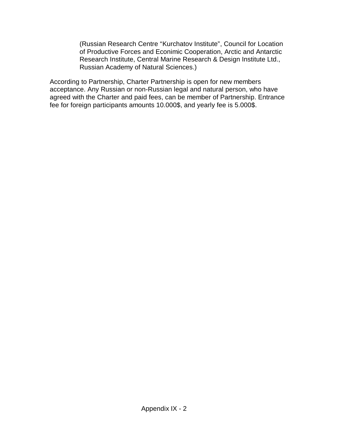(Russian Research Centre "Kurchatov Institute", Council for Location of Productive Forces and Econimic Cooperation, Arctic and Antarctic Research Institute, Central Marine Research & Design Institute Ltd., Russian Academy of Natural Sciences.)

According to Partnership, Charter Partnership is open for new members acceptance. Any Russian or non-Russian legal and natural person, who have agreed with the Charter and paid fees, can be member of Partnership. Entrance fee for foreign participants amounts 10.000\$, and yearly fee is 5.000\$.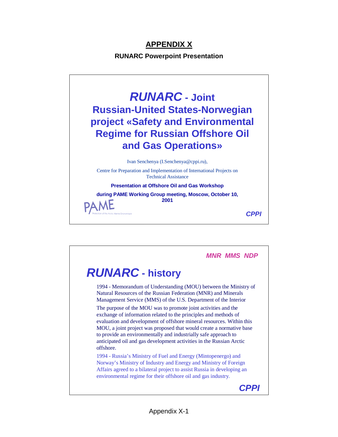# **APPENDIX X**

**RUNARC Powerpoint Presentation**



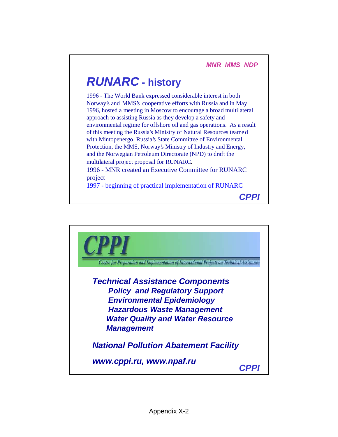# **RUNARC - history**

1996 - The World Bank expressed considerable interest in both Norway's and MMS's cooperative efforts with Russia and in May 1996, hosted a meeting in Moscow to encourage a broad multilateral approach to assisting Russia as they develop a safety and environmental regime for offshore oil and gas operations. As a result of this meeting the Russia's Ministry of Natural Resources teamed with Mintopenergo, Russia's State Committee of Environmental Protection, the MMS, Norway's Ministry of Industry and Energy, and the Norwegian Petroleum Directorate (NPD) to draft the multilateral project proposal for RUNARC. 1996 - MNR created an Executive Committee for RUNARC

project

1997 - beginning of practical implementation of RUNARC

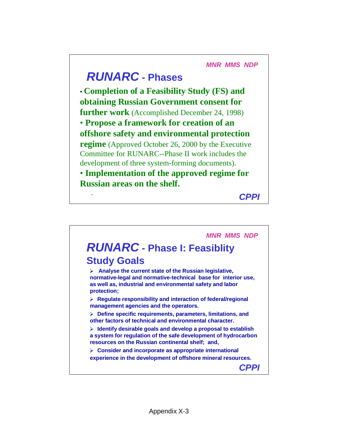**MNR MMS NDP**

# **RUNARC - Phases**

• **Completion of a Feasibility Study (FS) and obtaining Russian Government consent for further work** (Accomplished December 24, 1998) • **Propose a framework for creation of an offshore safety and environmental protection regime** (Approved October 26, 2000 by the Executive Committee for RUNARC--Phase II work includes the development of three system-forming documents). • **Implementation of the approved regime for Russian areas on the shelf.**

. **CPPI**

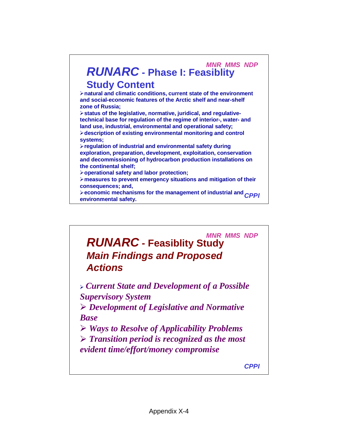

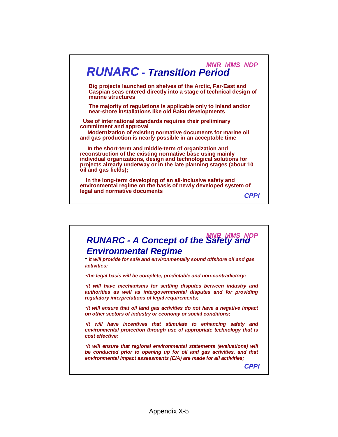

**RUNARC - A Concept of the Safety and Environmental Regime** • **it will provide for safe and environmentally sound offshore oil and gas activities;** •**the legal basis will be complete, predictable and non-contradictory;** •**it will have mechanisms for settling disputes between industry and authorities as well as intergovernmental disputes and for providing regulatory interpretations of legal requirements;** •**it will ensure that oil land gas activities do not have a negative impact on other sectors of industry or economy or social conditions;** •**it will have incentives that stimulate to enhancing safety and environmental protection through use of appropriate technology that is cost effective;** •**it will ensure that regional environmental statements (evaluations) will be conducted prior to opening up for oil and gas activities, and that environmental impact assessments (EIA) are made for all activities; CPPI**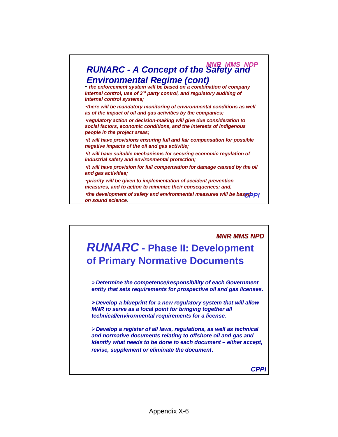

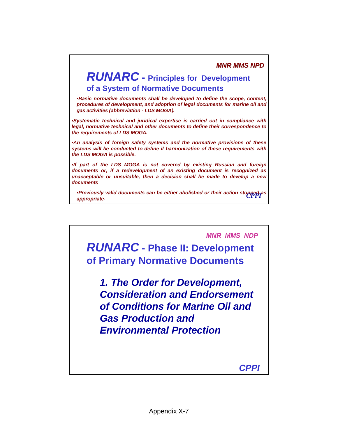# **RUNARC - Principles for Development of a System of Normative Documents**

•**Basic normative documents shall be developed to define the scope, content, procedures of development, and adoption of legal documents for marine oil and gas activities (abbreviation - LDS MOGA).**

•**Systematic technical and juridical expertise is carried out in compliance with legal, normative technical and other documents to define their correspondence to the requirements of LDS MOGA.**

•**An analysis of foreign safety systems and the normative provisions of these systems will be conducted to define if harmonization of these requirements with the LDS MOGA is possible.**

•**If part of the LDS MOGA is not covered by existing Russian and foreign documents or, if a redevelopment of an existing document is recognized as unacceptable or unsuitable, then a decision shall be made to develop a new documents**

•**Previously valid documents can be either abolished or their action stopped as**  *CPPI* **appropriate**.

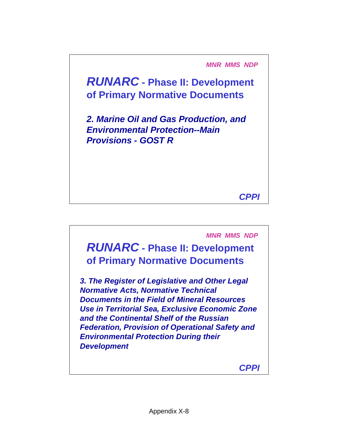**MNR MMS NDP**

**RUNARC - Phase II: Development of Primary Normative Documents**

**2. Marine Oil and Gas Production, and Environmental Protection--Main Provisions - GOST R**

**CPPI**

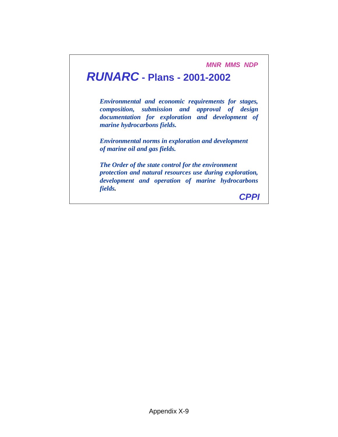**MNR MMS NDP**

# **RUNARC - Plans - 2001-2002**

*Environmental and economic requirements for stages, composition, submission and approval of design documentation for exploration and development of marine hydrocarbons fields.*

*Environmental norms in exploration and development of marine oil and gas fields.*

*The Order of the state control for the environment protection and natural resources use during exploration, development and operation of marine hydrocarbons fields.*